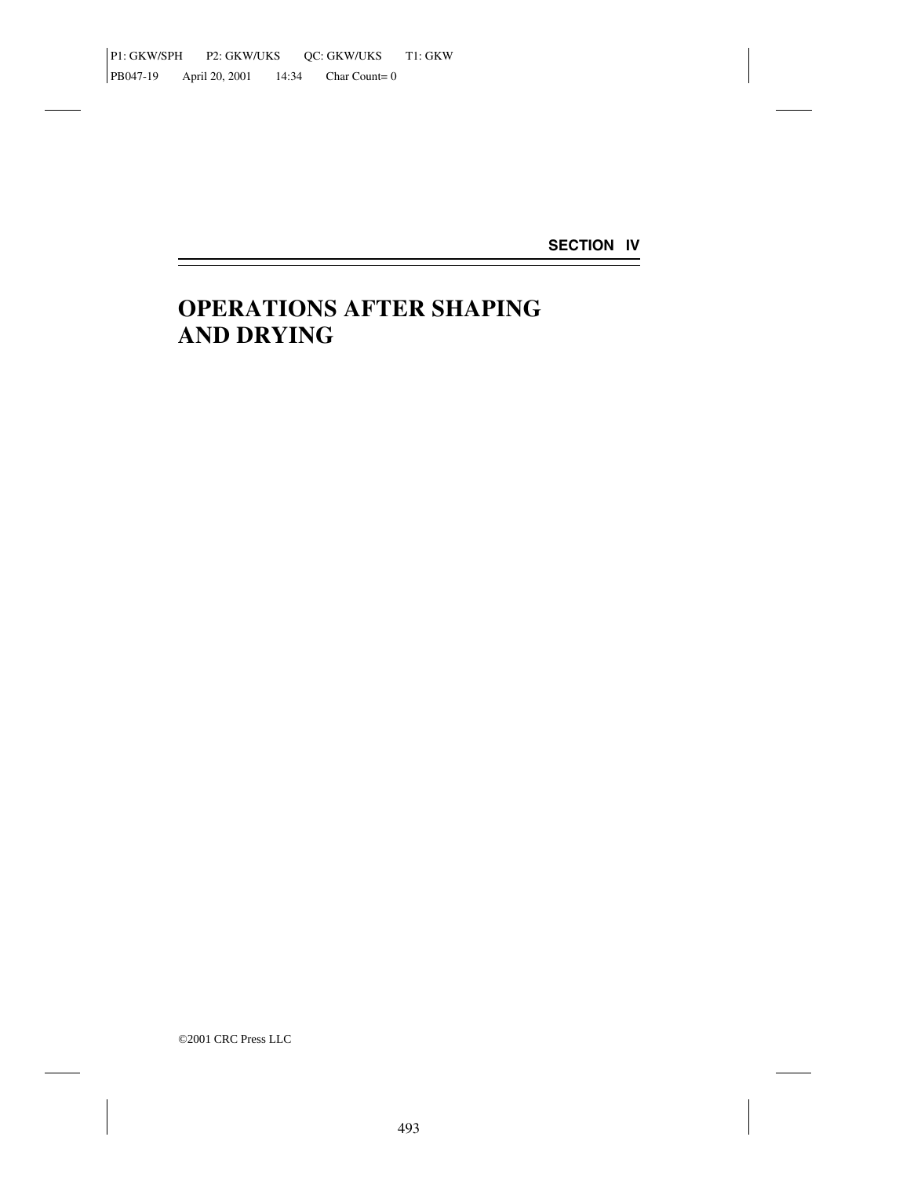# **OPERATIONS AFTER SHAPING AND DRYING**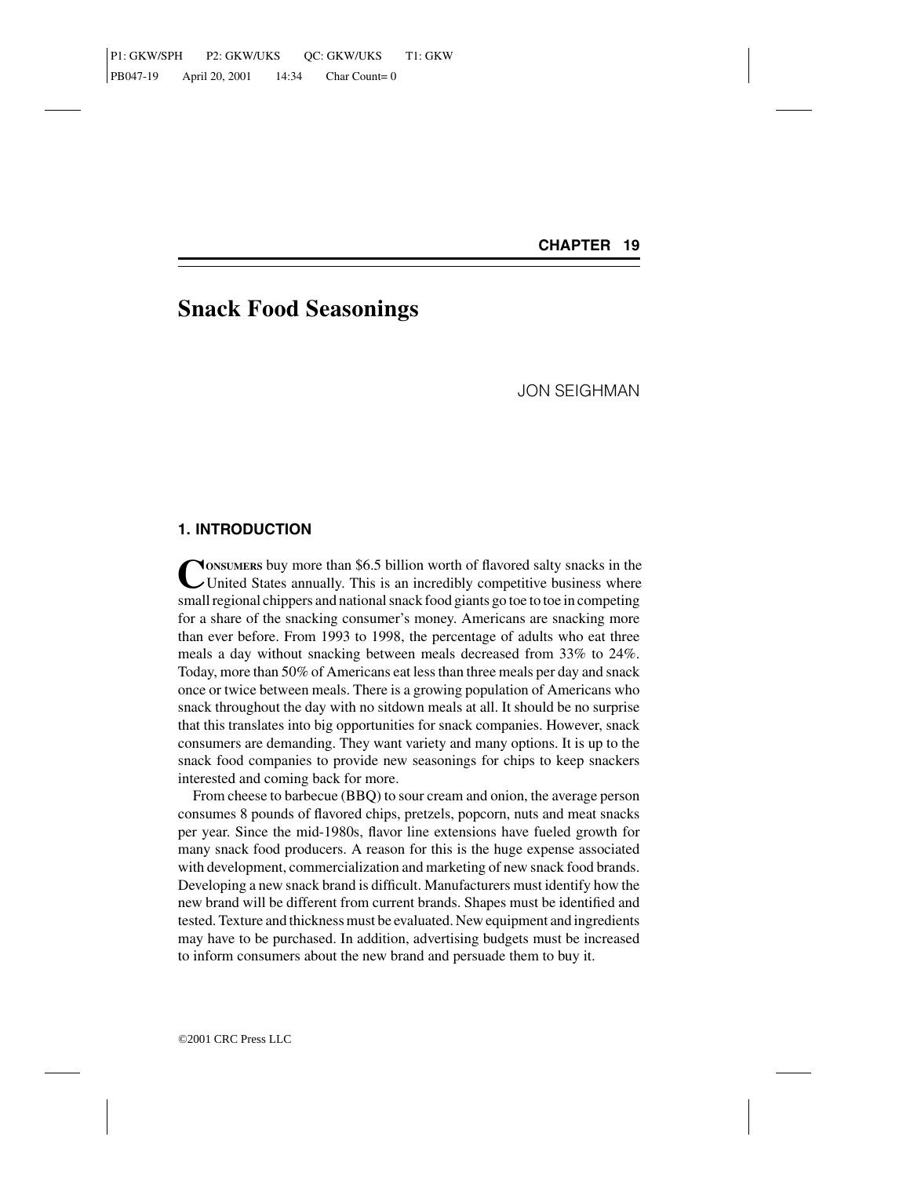## **Snack Food Seasonings**

JON SEIGHMAN

#### **1. INTRODUCTION**

**CONSUMERS** buy more than \$6.5 billion worth of flavored salty snacks in the United States annually. This is an incredibly competitive business where small regional chippers and national snack food giants go toe to toe in competing for a share of the snacking consumer's money. Americans are snacking more than ever before. From 1993 to 1998, the percentage of adults who eat three meals a day without snacking between meals decreased from 33% to 24%. Today, more than 50% of Americans eat less than three meals per day and snack once or twice between meals. There is a growing population of Americans who snack throughout the day with no sitdown meals at all. It should be no surprise that this translates into big opportunities for snack companies. However, snack consumers are demanding. They want variety and many options. It is up to the snack food companies to provide new seasonings for chips to keep snackers interested and coming back for more.

From cheese to barbecue (BBQ) to sour cream and onion, the average person consumes 8 pounds of flavored chips, pretzels, popcorn, nuts and meat snacks per year. Since the mid-1980s, flavor line extensions have fueled growth for many snack food producers. A reason for this is the huge expense associated with development, commercialization and marketing of new snack food brands. Developing a new snack brand is difficult. Manufacturers must identify how the new brand will be different from current brands. Shapes must be identified and tested. Texture and thickness must be evaluated. New equipment and ingredients may have to be purchased. In addition, advertising budgets must be increased to inform consumers about the new brand and persuade them to buy it.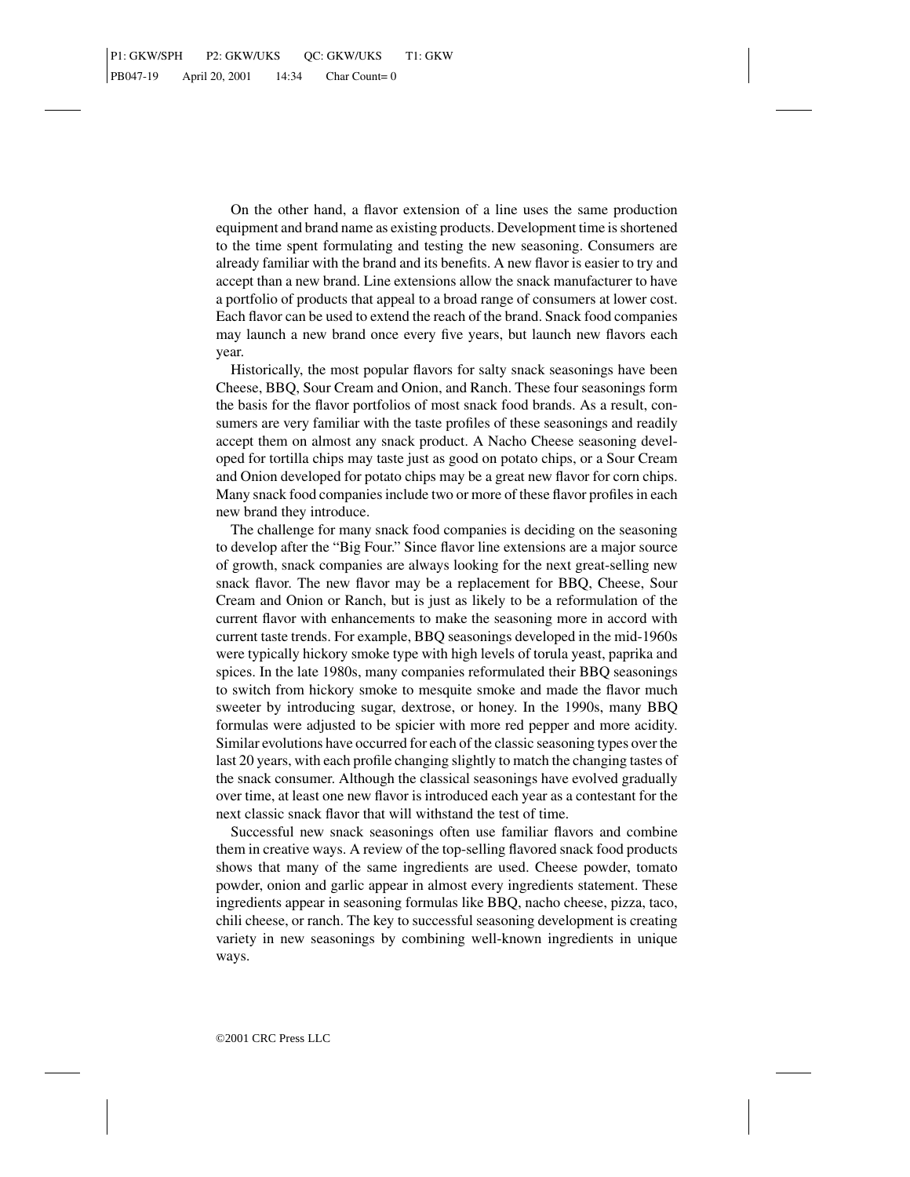On the other hand, a flavor extension of a line uses the same production equipment and brand name as existing products. Development time is shortened to the time spent formulating and testing the new seasoning. Consumers are already familiar with the brand and its benefits. A new flavor is easier to try and accept than a new brand. Line extensions allow the snack manufacturer to have a portfolio of products that appeal to a broad range of consumers at lower cost. Each flavor can be used to extend the reach of the brand. Snack food companies may launch a new brand once every five years, but launch new flavors each year.

Historically, the most popular flavors for salty snack seasonings have been Cheese, BBQ, Sour Cream and Onion, and Ranch. These four seasonings form the basis for the flavor portfolios of most snack food brands. As a result, consumers are very familiar with the taste profiles of these seasonings and readily accept them on almost any snack product. A Nacho Cheese seasoning developed for tortilla chips may taste just as good onpotato chips, or a Sour Cream and Onion developed for potato chips may be a great new flavor for corn chips. Many snack food companies include two or more of these flavor profiles in each new brand they introduce.

The challenge for many snack food companies is deciding on the seasoning to develop after the "Big Four." Since flavor line extensions are a major source of growth, snack companies are always looking for the next great-selling new snack flavor. The new flavor may be a replacement for BBQ, Cheese, Sour Cream and Onion or Ranch, but is just as likely to be a reformulation of the current flavor with enhancements to make the seasoning more in accord with current taste trends. For example, BBQ seasonings developed in the mid-1960s were typically hickory smoke type with high levels of torula yeast, paprika and spices. In the late 1980s, many companies reformulated their BBQ seasonings to switch from hickory smoke to mesquite smoke and made the flavor much sweeter by introducing sugar, dextrose, or honey. In the 1990s, many BBQ formulas were adjusted to be spicier with more red pepper and more acidity. Similar evolutions have occurred for each of the classic seasoning types over the last 20 years, with each profile changing slightly to match the changing tastes of the snack consumer. Although the classical seasonings have evolved gradually over time, at least one new flavor is introduced each year as a contestant for the next classic snack flavor that will withstand the test of time.

Successful new snack seasonings often use familiar flavors and combine them in creative ways. A review of the top-selling flavored snack food products shows that many of the same ingredients are used. Cheese powder, tomato powder, onion and garlic appear in almost every ingredients statement. These ingredients appear in seasoning formulas like BBQ, nacho cheese, pizza, taco, chili cheese, or ranch. The key to successful seasoning development is creating variety in new seasonings by combining well-known ingredients in unique ways.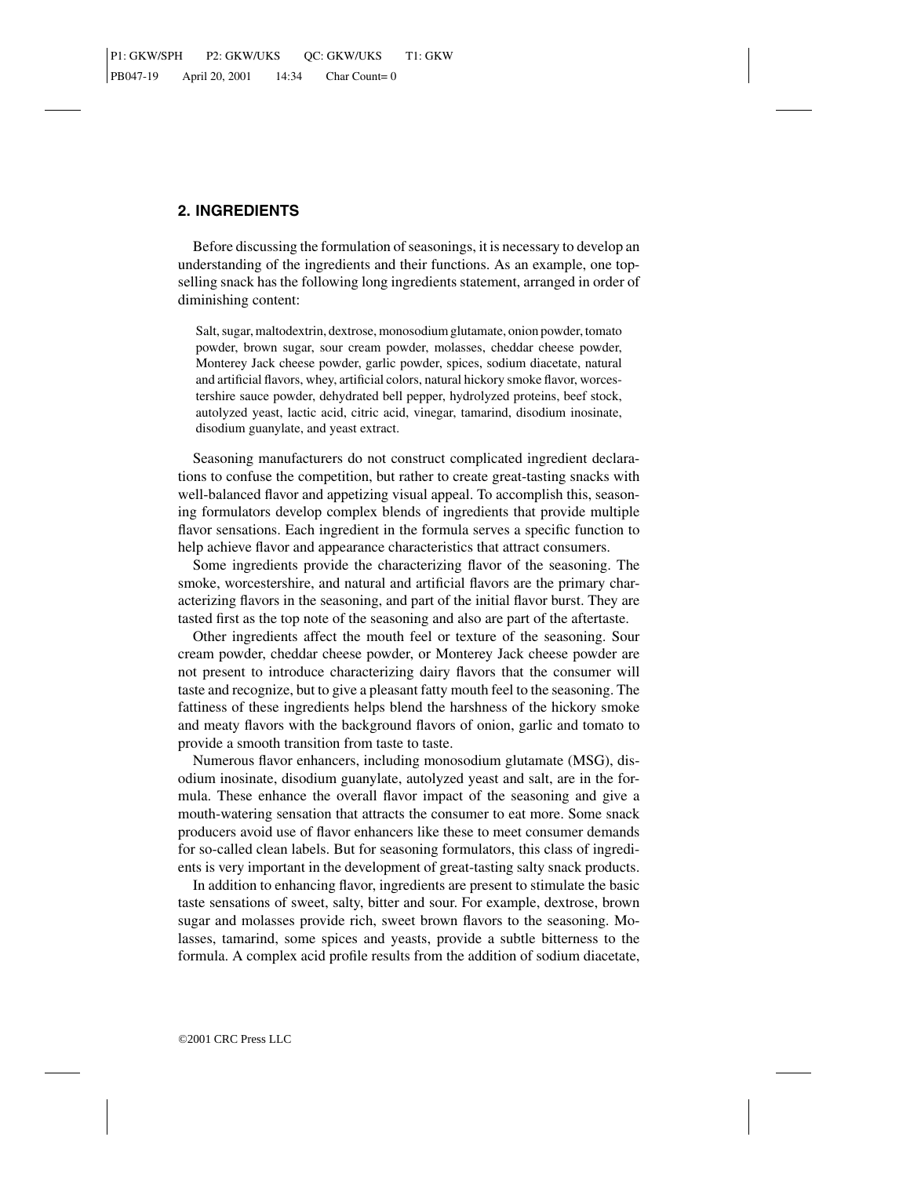## **2. INGREDIENTS**

Before discussing the formulation of seasonings, it is necessary to develop an understanding of the ingredients and their functions. As an example, one topselling snack has the following long ingredients statement, arranged in order of diminishing content:

Salt, sugar, maltodextrin, dextrose, monosodium glutamate, onion powder, tomato powder, brownsugar, sour cream powder, molasses, cheddar cheese powder, Monterey Jack cheese powder, garlic powder, spices, sodium diacetate, natural and artificial flavors, whey, artificial colors, natural hickory smoke flavor, worcestershire sauce powder, dehydrated bell pepper, hydrolyzed proteins, beef stock, autolyzed yeast, lactic acid, citric acid, vinegar, tamarind, disodium inosinate, disodium guanylate, and yeast extract.

Seasoning manufacturers do not construct complicated ingredient declarations to confuse the competition, but rather to create great-tasting snacks with well-balanced flavor and appetizing visual appeal. To accomplish this, seasoning formulators develop complex blends of ingredients that provide multiple flavor sensations. Each ingredient in the formula serves a specific function to help achieve flavor and appearance characteristics that attract consumers.

Some ingredients provide the characterizing flavor of the seasoning. The smoke, worcestershire, and natural and artificial flavors are the primary characterizing flavors in the seasoning, and part of the initial flavor burst. They are tasted first as the top note of the seasoning and also are part of the aftertaste.

Other ingredients affect the mouth feel or texture of the seasoning. Sour cream powder, cheddar cheese powder, or Monterey Jack cheese powder are not present to introduce characterizing dairy flavors that the consumer will taste and recognize, but to give a pleasant fatty mouth feel to the seasoning. The fattiness of these ingredients helps blend the harshness of the hickory smoke and meaty flavors with the background flavors of onion, garlic and tomato to provide a smooth transition from taste to taste.

Numerous flavor enhancers, including monosodium glutamate (MSG), disodium inosinate, disodium guanylate, autolyzed yeast and salt, are in the formula. These enhance the overall flavor impact of the seasoning and give a mouth-watering sensation that attracts the consumer to eat more. Some snack producers avoid use of flavor enhancers like these to meet consumer demands for so-called clean labels. But for seasoning formulators, this class of ingredients is very important in the development of great-tasting salty snack products.

In addition to enhancing flavor, ingredients are present to stimulate the basic taste sensations of sweet, salty, bitter and sour. For example, dextrose, brown sugar and molasses provide rich, sweet brown flavors to the seasoning. Molasses, tamarind, some spices and yeasts, provide a subtle bitterness to the formula. A complex acid profile results from the addition of sodium diacetate,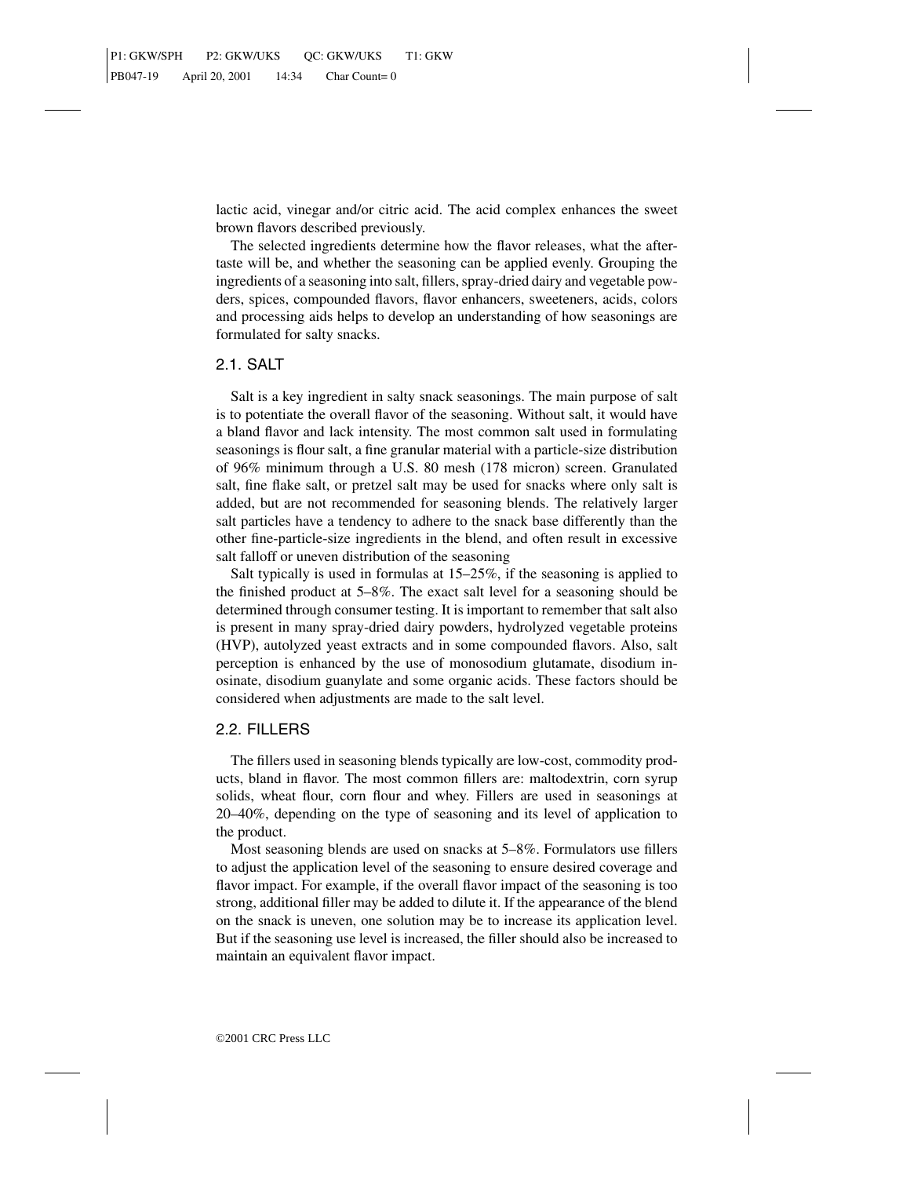lactic acid, vinegar and/or citric acid. The acid complex enhances the sweet brown flavors described previously.

The selected ingredients determine how the flavor releases, what the aftertaste will be, and whether the seasoning can be applied evenly. Grouping the ingredients of a seasoning into salt, fillers, spray-dried dairy and vegetable powders, spices, compounded flavors, flavor enhancers, sweeteners, acids, colors and processing aids helps to develop an understanding of how seasonings are formulated for salty snacks.

#### 2.1. SALT

Salt is a key ingredient in salty snack seasonings. The main purpose of salt is to potentiate the overall flavor of the seasoning. Without salt, it would have a bland flavor and lack intensity. The most common salt used in formulating seasonings is flour salt, a fine granular material with a particle-size distribution of 96% minimum through a U.S. 80 mesh (178 micron) screen. Granulated salt, fine flake salt, or pretzel salt may be used for snacks where only salt is added, but are not recommended for seasoning blends. The relatively larger salt particles have a tendency to adhere to the snack base differently than the other fine-particle-size ingredients in the blend, and often result in excessive salt falloff or uneven distribution of the seasoning

Salt typically is used in formulas at 15–25%, if the seasoning is applied to the finished product at 5–8%. The exact salt level for a seasoning should be determined through consumer testing. It is important to remember that salt also is present in many spray-dried dairy powders, hydrolyzed vegetable proteins (HVP), autolyzed yeast extracts and in some compounded flavors. Also, salt perception is enhanced by the use of monosodium glutamate, disodium inosinate, disodium guanylate and some organic acids. These factors should be considered when adjustments are made to the salt level.

#### 2.2. FILLERS

The fillers used in seasoning blends typically are low-cost, commodity products, bland in flavor. The most common fillers are: maltodextrin, corn syrup solids, wheat flour, corn flour and whey. Fillers are used in seasonings at 20–40%, depending on the type of seasoning and its level of application to the product.

Most seasoning blends are used on snacks at 5–8%. Formulators use fillers to adjust the application level of the seasoning to ensure desired coverage and flavor impact. For example, if the overall flavor impact of the seasoning is too strong, additional filler may be added to dilute it. If the appearance of the blend on the snack is uneven, one solution may be to increase its application level. But if the seasoning use level is increased, the filler should also be increased to maintain an equivalent flavor impact.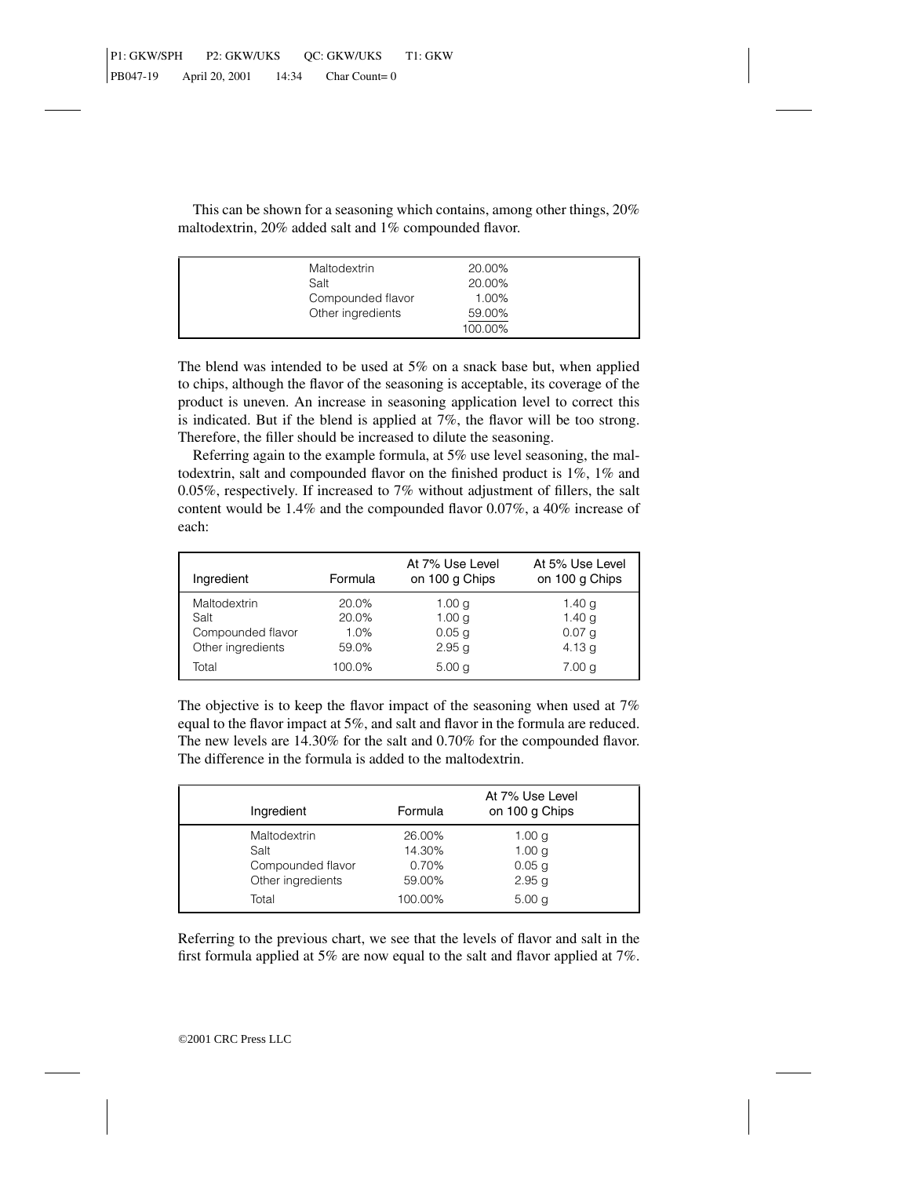This can be shown for a seasoning which contains, among other things, 20% maltodextrin, 20% added salt and 1% compounded flavor.

| Maltodextrin      | 20.00%  |
|-------------------|---------|
| Salt              | 20.00%  |
| Compounded flavor | 1.00%   |
| Other ingredients | 59.00%  |
|                   | 100.00% |

The blend was intended to be used at 5% on a snack base but, when applied to chips, although the flavor of the seasoning is acceptable, its coverage of the product is uneven. An increase in seasoning application level to correct this is indicated. But if the blend is applied at 7%, the flavor will be too strong. Therefore, the filler should be increased to dilute the seasoning.

Referring again to the example formula, at 5% use level seasoning, the maltodextrin, salt and compounded flavor on the finished product is 1%, 1% and 0.05%, respectively. If increased to 7% without adjustment of fillers, the salt content would be 1.4% and the compounded flavor 0.07%, a 40% increase of each:

| Ingredient                                                     | Formula                         | At 7% Use Level<br>on 100 g Chips                           | At 5% Use Level<br>on 100 g Chips                            |
|----------------------------------------------------------------|---------------------------------|-------------------------------------------------------------|--------------------------------------------------------------|
| Maltodextrin<br>Salt<br>Compounded flavor<br>Other ingredients | 20.0%<br>20.0%<br>1.0%<br>59.0% | 1.00 $q$<br>1.00 <sub>q</sub><br>0.05 <sub>g</sub><br>2.95q | 1.40 $q$<br>1.40 <sub>q</sub><br>0.07 <sub>q</sub><br>4.13 g |
| Total                                                          | 100.0%                          | 5.00 g                                                      | 7.00 g                                                       |

The objective is to keep the flavor impact of the seasoning when used at 7% equal to the flavor impact at 5%, and salt and flavor in the formula are reduced. The new levels are 14.30% for the salt and 0.70% for the compounded flavor. The difference in the formula is added to the maltodextrin.

| Ingredient                                                     | Formula                             | At 7% Use Level<br>on 100 g Chips                          |
|----------------------------------------------------------------|-------------------------------------|------------------------------------------------------------|
| Maltodextrin<br>Salt<br>Compounded flavor<br>Other ingredients | 26.00%<br>14.30%<br>0.70%<br>59.00% | 1.00 g<br>1.00 g<br>0.05 <sub>g</sub><br>2.95 <sub>g</sub> |
| Total                                                          | 100.00%                             | 5.00 g                                                     |

Referring to the previous chart, we see that the levels of flavor and salt in the first formula applied at 5% are now equal to the salt and flavor applied at 7%.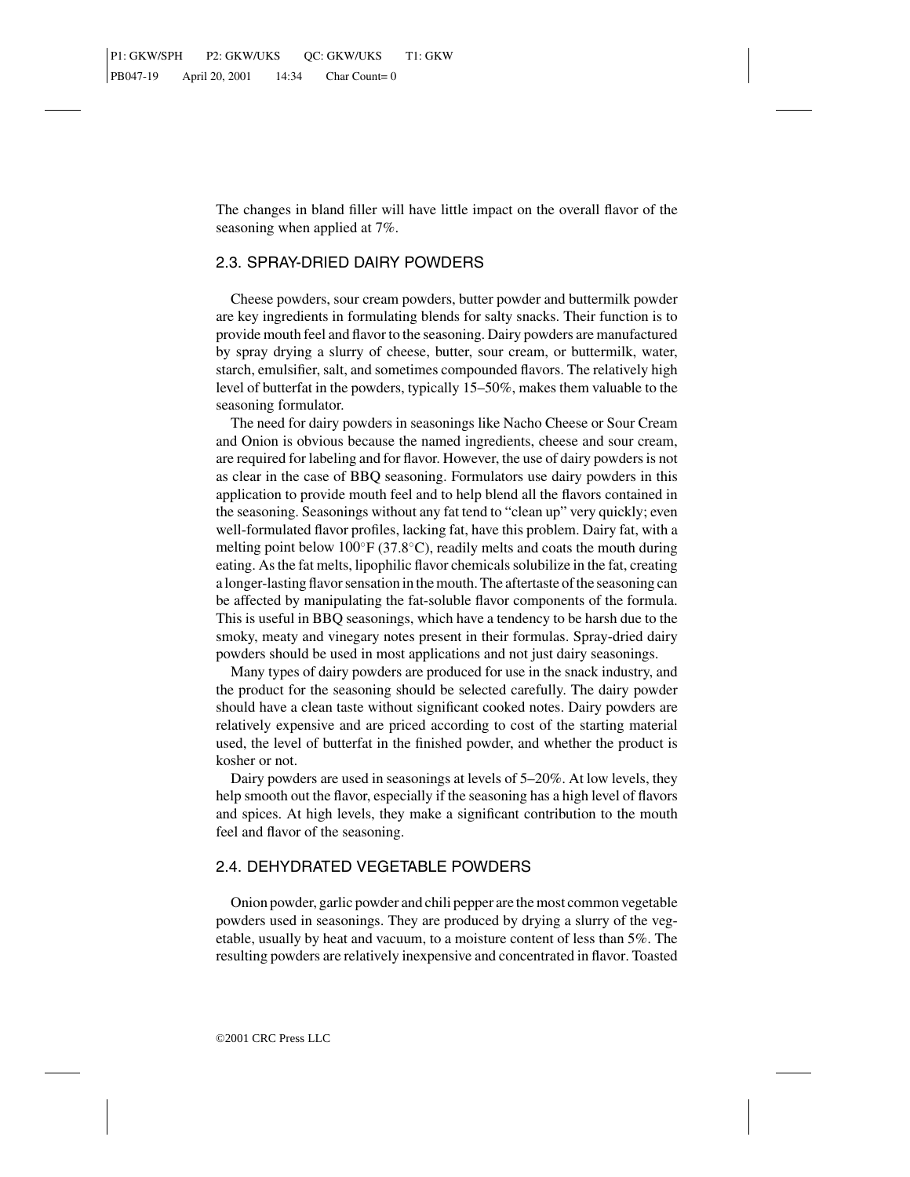The changes in bland filler will have little impact on the overall flavor of the seasoning when applied at 7%.

## 2.3. SPRAY-DRIED DAIRY POWDERS

Cheese powders, sour cream powders, butter powder and buttermilk powder are key ingredients in formulating blends for salty snacks. Their function is to provide mouth feel and flavor to the seasoning. Dairy powders are manufactured by spray drying a slurry of cheese, butter, sour cream, or buttermilk, water, starch, emulsifier, salt, and sometimes compounded flavors. The relatively high level of butterfat in the powders, typically 15–50%, makes them valuable to the seasoning formulator.

The need for dairy powders in seasonings like Nacho Cheese or Sour Cream and Onion is obvious because the named ingredients, cheese and sour cream, are required for labeling and for flavor. However, the use of dairy powders is not as clear in the case of BBQ seasoning. Formulators use dairy powders in this application to provide mouth feel and to help blend all the flavors contained in the seasoning. Seasonings without any fat tend to "clean up" very quickly; even well-formulated flavor profiles, lacking fat, have this problem. Dairy fat, with a melting point below  $100\textdegree F$  (37.8 $\textdegree C$ ), readily melts and coats the mouth during eating. As the fat melts, lipophilic flavor chemicals solubilize in the fat, creating a longer-lasting flavor sensation in the mouth. The aftertaste of the seasoning can be affected by manipulating the fat-soluble flavor components of the formula. This is useful in BBQ seasonings, which have a tendency to be harsh due to the smoky, meaty and vinegary notes present in their formulas. Spray-dried dairy powders should be used in most applications and not just dairy seasonings.

Many types of dairy powders are produced for use in the snack industry, and the product for the seasoning should be selected carefully. The dairy powder should have a clean taste without significant cooked notes. Dairy powders are relatively expensive and are priced according to cost of the starting material used, the level of butterfat in the finished powder, and whether the product is kosher or not.

Dairy powders are used in seasonings at levels of 5–20%. At low levels, they help smooth out the flavor, especially if the seasoning has a high level of flavors and spices. At high levels, they make a significant contribution to the mouth feel and flavor of the seasoning.

## 2.4. DEHYDRATED VEGETABLE POWDERS

Onion powder, garlic powder and chili pepper are the most common vegetable powders used in seasonings. They are produced by drying a slurry of the vegetable, usually by heat and vacuum, to a moisture content of less than 5%. The resulting powders are relatively inexpensive and concentrated in flavor. Toasted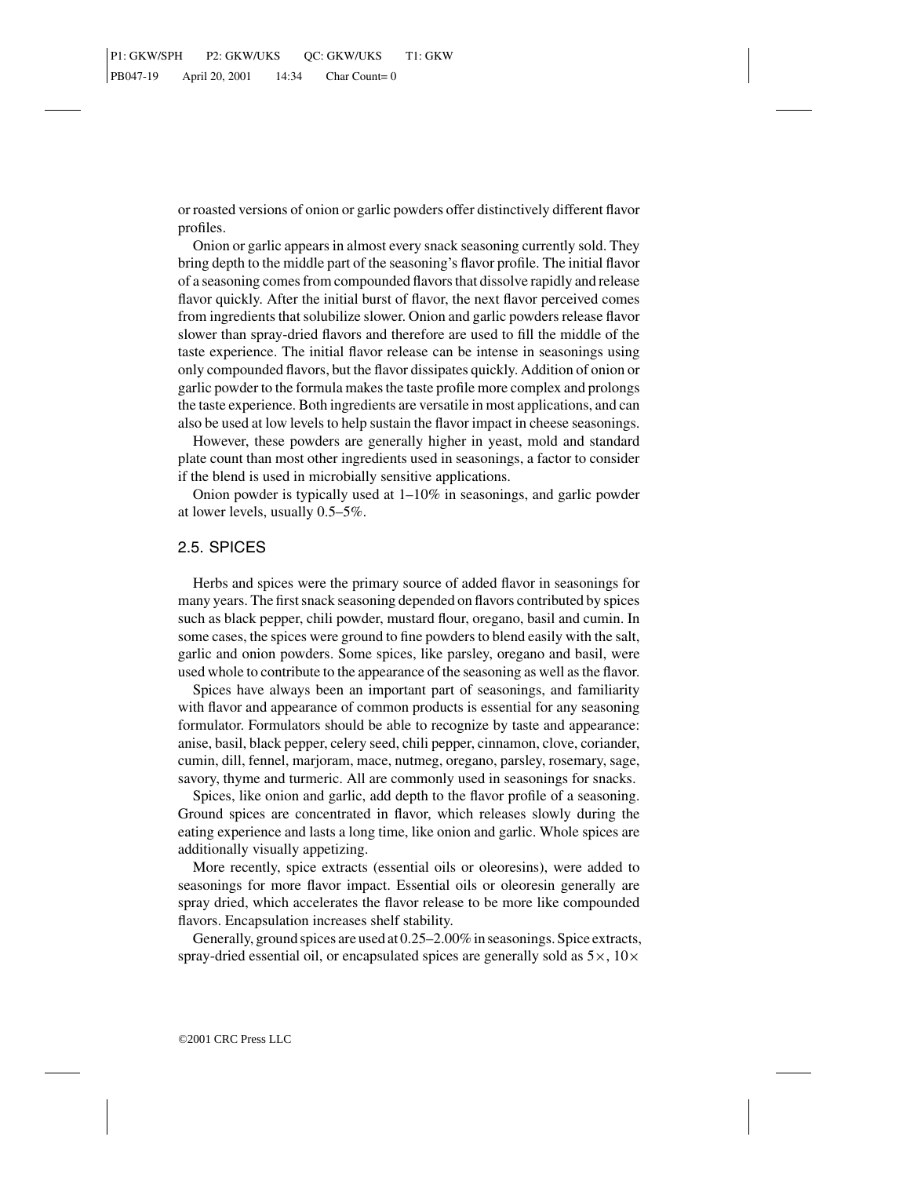or roasted versions of onion or garlic powders offer distinctively different flavor profiles.

Onion or garlic appears in almost every snack seasoning currently sold. They bring depth to the middle part of the seasoning's flavor profile. The initial flavor of a seasoning comes from compounded flavors that dissolve rapidly and release flavor quickly. After the initial burst of flavor, the next flavor perceived comes from ingredients that solubilize slower. Onion and garlic powders release flavor slower than spray-dried flavors and therefore are used to fill the middle of the taste experience. The initial flavor release can be intense in seasonings using only compounded flavors, but the flavor dissipates quickly. Addition of onion or garlic powder to the formula makes the taste profile more complex and prolongs the taste experience. Both ingredients are versatile in most applications, and can also be used at low levels to help sustain the flavor impact in cheese seasonings.

However, these powders are generally higher in yeast, mold and standard plate count than most other ingredients used in seasonings, a factor to consider if the blend is used in microbially sensitive applications.

Onion powder is typically used at 1–10% in seasonings, and garlic powder at lower levels, usually 0.5–5%.

#### 2.5. SPICES

Herbs and spices were the primary source of added flavor in seasonings for many years. The first snack seasoning depended on flavors contributed by spices such as black pepper, chili powder, mustard flour, oregano, basil and cumin. In some cases, the spices were ground to fine powders to blend easily with the salt, garlic and onion powders. Some spices, like parsley, oregano and basil, were used whole to contribute to the appearance of the seasoning as well as the flavor.

Spices have always been an important part of seasonings, and familiarity with flavor and appearance of common products is essential for any seasoning formulator. Formulators should be able to recognize by taste and appearance: anise, basil, black pepper, celery seed, chili pepper, cinnamon, clove, coriander, cumin, dill, fennel, marjoram, mace, nutmeg, oregano, parsley, rosemary, sage, savory, thyme and turmeric. All are commonly used in seasonings for snacks.

Spices, like onion and garlic, add depth to the flavor profile of a seasoning. Ground spices are concentrated in flavor, which releases slowly during the eating experience and lasts a long time, like onion and garlic. Whole spices are additionally visually appetizing.

More recently, spice extracts (essential oils or oleoresins), were added to seasonings for more flavor impact. Essential oils or oleoresin generally are spray dried, which accelerates the flavor release to be more like compounded flavors. Encapsulation increases shelf stability.

Generally, ground spices are used at  $0.25-2.00\%$  in seasonings. Spice extracts, spray-dried essential oil, or encapsulated spices are generally sold as  $5\times$ ,  $10\times$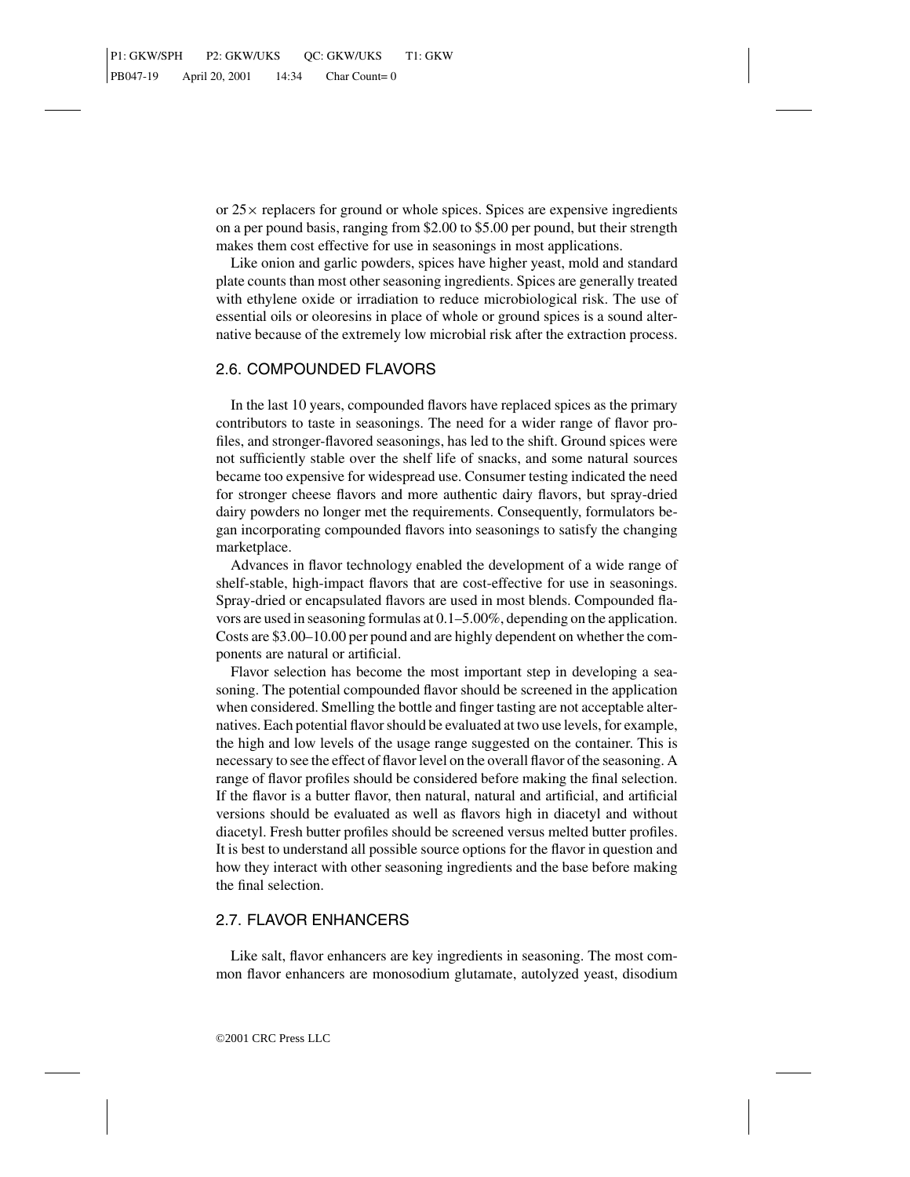or  $25 \times$  replacers for ground or whole spices. Spices are expensive ingredients on a per pound basis, ranging from \$2.00 to \$5.00 per pound, but their strength makes them cost effective for use in seasonings in most applications.

Like onion and garlic powders, spices have higher yeast, mold and standard plate counts than most other seasoning ingredients. Spices are generally treated with ethylene oxide or irradiation to reduce microbiological risk. The use of essential oils or oleoresins in place of whole or ground spices is a sound alternative because of the extremely low microbial risk after the extraction process.

## 2.6. COMPOUNDED FLAVORS

In the last 10 years, compounded flavors have replaced spices as the primary contributors to taste in seasonings. The need for a wider range of flavor profiles, and stronger-flavored seasonings, has led to the shift. Ground spices were not sufficiently stable over the shelf life of snacks, and some natural sources became too expensive for widespread use. Consumer testing indicated the need for stronger cheese flavors and more authentic dairy flavors, but spray-dried dairy powders no longer met the requirements. Consequently, formulators began incorporating compounded flavors into seasonings to satisfy the changing marketplace.

Advances in flavor technology enabled the development of a wide range of shelf-stable, high-impact flavors that are cost-effective for use in seasonings. Spray-dried or encapsulated flavors are used in most blends. Compounded flavors are used in seasoning formulas at 0.1–5.00%, depending on the application. Costs are \$3.00–10.00 per pound and are highly dependent on whether the components are natural or artificial.

Flavor selection has become the most important step in developing a seasoning. The potential compounded flavor should be screened in the application when considered. Smelling the bottle and finger tasting are not acceptable alternatives. Each potential flavor should be evaluated at two use levels, for example, the high and low levels of the usage range suggested on the container. This is necessary to see the effect of flavor level on the overall flavor of the seasoning. A range of flavor profiles should be considered before making the final selection. If the flavor is a butter flavor, then natural, natural and artificial, and artificial versions should be evaluated as well as flavors high in diacetyl and without diacetyl. Fresh butter profiles should be screened versus melted butter profiles. It is best to understand all possible source options for the flavor in question and how they interact with other seasoning ingredients and the base before making the final selection.

## 2.7. FLAVOR ENHANCERS

Like salt, flavor enhancers are key ingredients in seasoning. The most common flavor enhancers are monosodium glutamate, autolyzed yeast, disodium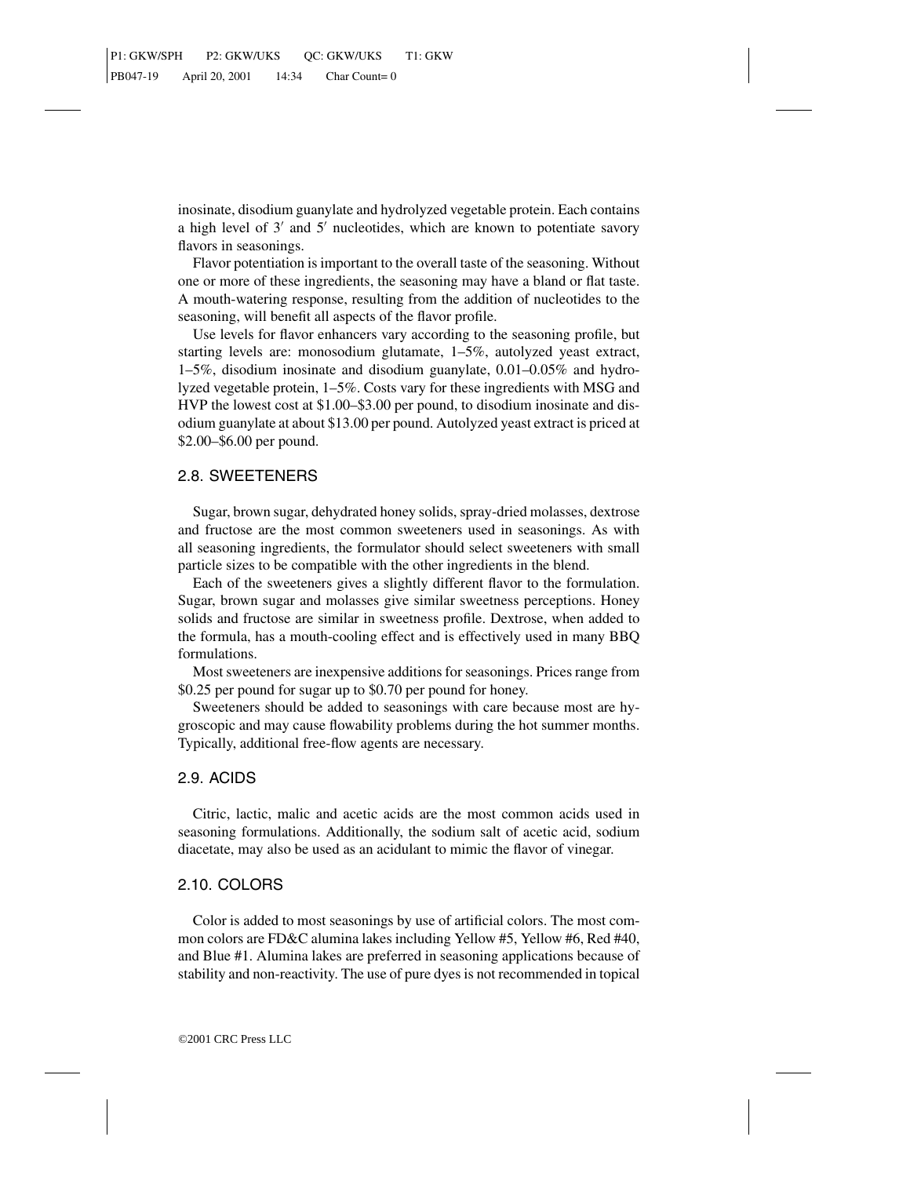inosinate, disodium guanylate and hydrolyzed vegetable protein. Each contains a high level of  $3'$  and  $5'$  nucleotides, which are known to potentiate savory flavors in seasonings.

Flavor potentiation is important to the overall taste of the seasoning. Without one or more of these ingredients, the seasoning may have a bland or flat taste. A mouth-watering response, resulting from the addition of nucleotides to the seasoning, will benefit all aspects of the flavor profile.

Use levels for flavor enhancers vary according to the seasoning profile, but starting levels are: monosodium glutamate, 1–5%, autolyzed yeast extract, 1–5%, disodium inosinate and disodium guanylate, 0.01–0.05% and hydrolyzed vegetable protein, 1–5%. Costs vary for these ingredients with MSG and HVP the lowest cost at \$1.00–\$3.00 per pound, to disodium inosinate and disodium guanylate at about \$13.00 per pound. Autolyzed yeast extract is priced at \$2.00–\$6.00 per pound.

#### 2.8. SWEETENERS

Sugar, brownsugar, dehydrated honey solids, spray-dried molasses, dextrose and fructose are the most common sweeteners used in seasonings. As with all seasoning ingredients, the formulator should select sweeteners with small particle sizes to be compatible with the other ingredients in the blend.

Each of the sweeteners gives a slightly different flavor to the formulation. Sugar, brown sugar and molasses give similar sweetness perceptions. Honey solids and fructose are similar in sweetness profile. Dextrose, when added to the formula, has a mouth-cooling effect and is effectively used in many BBQ formulations.

Most sweeteners are inexpensive additions for seasonings. Prices range from \$0.25 per pound for sugar up to \$0.70 per pound for honey.

Sweeteners should be added to seasonings with care because most are hygroscopic and may cause flowability problems during the hot summer months. Typically, additional free-flow agents are necessary.

#### 2.9. ACIDS

Citric, lactic, malic and acetic acids are the most common acids used in seasoning formulations. Additionally, the sodium salt of acetic acid, sodium diacetate, may also be used as anacidulant to mimic the flavor of vinegar.

## 2.10. COLORS

Color is added to most seasonings by use of artificial colors. The most common colors are FD&C alumina lakes including Yellow #5, Yellow #6, Red #40, and Blue #1. Alumina lakes are preferred in seasoning applications because of stability and non-reactivity. The use of pure dyes is not recommended in topical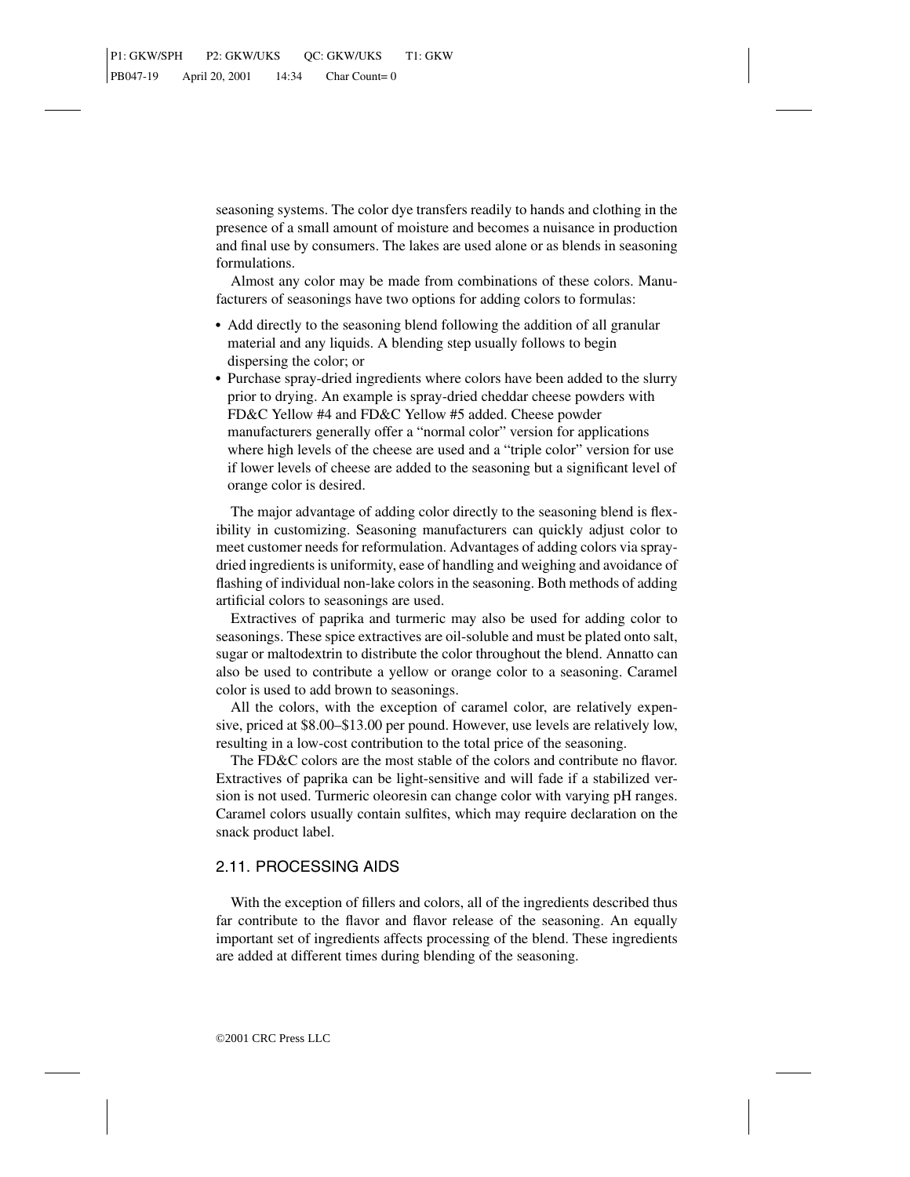seasoning systems. The color dye transfers readily to hands and clothing in the presence of a small amount of moisture and becomes a nuisance in production and final use by consumers. The lakes are used alone or as blends in seasoning formulations.

Almost any color may be made from combinations of these colors. Manufacturers of seasonings have two options for adding colors to formulas:

- Add directly to the seasoning blend following the addition of all granular material and any liquids. A blending step usually follows to begin dispersing the color; or
- Purchase spray-dried ingredients where colors have been added to the slurry prior to drying. An example is spray-dried cheddar cheese powders with FD&C Yellow #4 and FD&C Yellow #5 added. Cheese powder manufacturers generally offer a "normal color" version for applications where high levels of the cheese are used and a "triple color" version for use if lower levels of cheese are added to the seasoning but a significant level of orange color is desired.

The major advantage of adding color directly to the seasoning blend is flexibility in customizing. Seasoning manufacturers can quickly adjust color to meet customer needs for reformulation. Advantages of adding colors via spraydried ingredients is uniformity, ease of handling and weighing and avoidance of flashing of individual non-lake colors in the seasoning. Both methods of adding artificial colors to seasonings are used.

Extractives of paprika and turmeric may also be used for adding color to seasonings. These spice extractives are oil-soluble and must be plated onto salt, sugar or maltodextrin to distribute the color throughout the blend. Annatto can also be used to contribute a yellow or orange color to a seasoning. Caramel color is used to add brown to seasonings.

All the colors, with the exception of caramel color, are relatively expensive, priced at \$8.00–\$13.00 per pound. However, use levels are relatively low, resulting in a low-cost contribution to the total price of the seasoning.

The FD&C colors are the most stable of the colors and contribute no flavor. Extractives of paprika can be light-sensitive and will fade if a stabilized version is not used. Turmeric oleoresin can change color with varying pH ranges. Caramel colors usually contain sulfites, which may require declaration on the snack product label.

## 2.11. PROCESSING AIDS

With the exception of fillers and colors, all of the ingredients described thus far contribute to the flavor and flavor release of the seasoning. An equally important set of ingredients affects processing of the blend. These ingredients are added at different times during blending of the seasoning.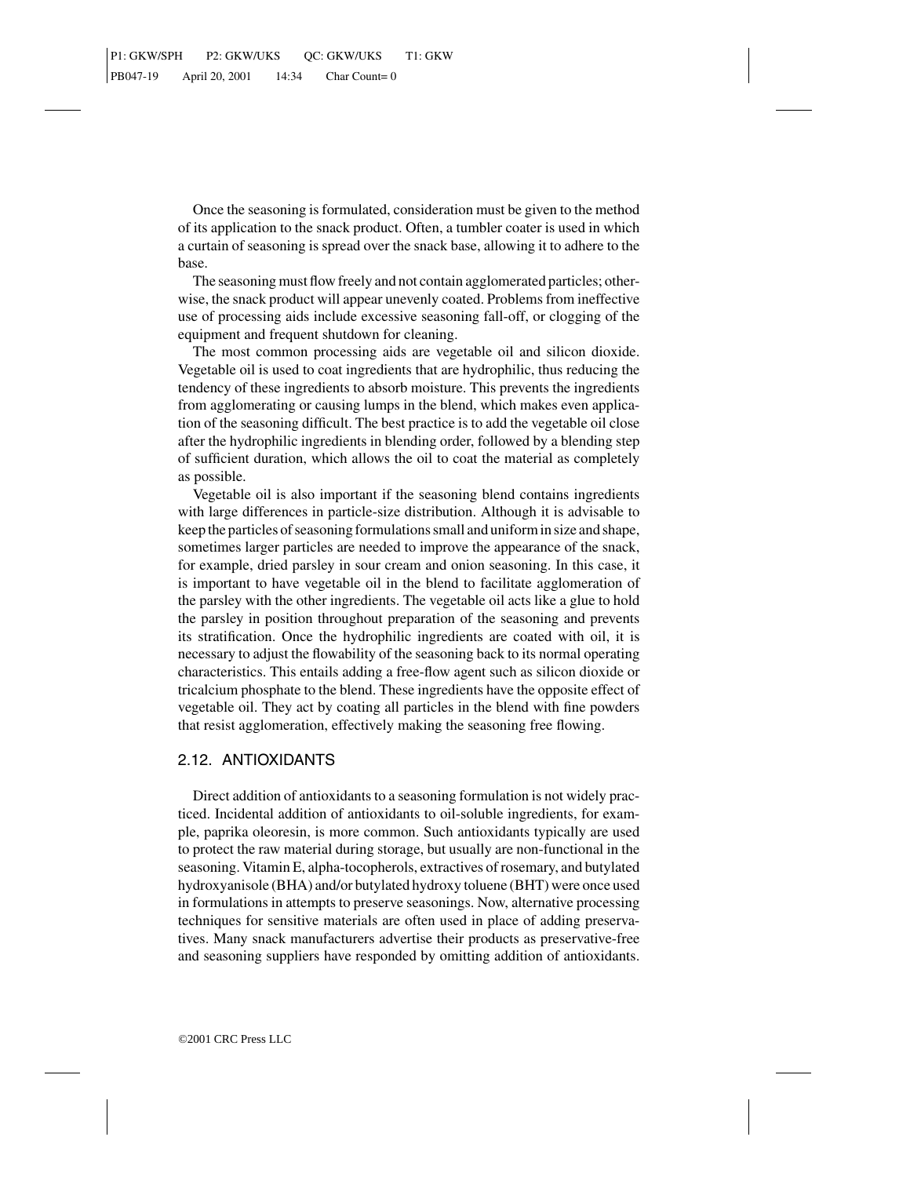Once the seasoning is formulated, consideration must be given to the method of its application to the snack product. Often, a tumbler coater is used in which a curtain of seasoning is spread over the snack base, allowing it to adhere to the base.

The seasoning must flow freely and not contain agglomerated particles; otherwise, the snack product will appear unevenly coated. Problems from ineffective use of processing aids include excessive seasoning fall-off, or clogging of the equipment and frequent shutdown for cleaning.

The most common processing aids are vegetable oil and silicon dioxide. Vegetable oil is used to coat ingredients that are hydrophilic, thus reducing the tendency of these ingredients to absorb moisture. This prevents the ingredients from agglomerating or causing lumps in the blend, which makes even application of the seasoning difficult. The best practice is to add the vegetable oil close after the hydrophilic ingredients in blending order, followed by a blending step of sufficient duration, which allows the oil to coat the material as completely as possible.

Vegetable oil is also important if the seasoning blend contains ingredients with large differences in particle-size distribution. Although it is advisable to keep the particles of seasoning formulations small and uniform in size and shape, sometimes larger particles are needed to improve the appearance of the snack, for example, dried parsley in sour cream and onion seasoning. In this case, it is important to have vegetable oil in the blend to facilitate agglomeration of the parsley with the other ingredients. The vegetable oil acts like a glue to hold the parsley in position throughout preparation of the seasoning and prevents its stratification. Once the hydrophilic ingredients are coated with oil, it is necessary to adjust the flowability of the seasoning back to its normal operating characteristics. This entails adding a free-flow agent such as silicon dioxide or tricalcium phosphate to the blend. These ingredients have the opposite effect of vegetable oil. They act by coating all particles in the blend with fine powders that resist agglomeration, effectively making the seasoning free flowing.

#### 2.12. ANTIOXIDANTS

Direct addition of antioxidants to a seasoning formulation is not widely practiced. Incidental addition of antioxidants to oil-soluble ingredients, for example, paprika oleoresin, is more common. Such antioxidants typically are used to protect the raw material during storage, but usually are non-functional in the seasoning. Vitamin E, alpha-tocopherols, extractives of rosemary, and butylated hydroxyanisole (BHA) and/or butylated hydroxy toluene (BHT) were once used in formulations in attempts to preserve seasonings. Now, alternative processing techniques for sensitive materials are often used in place of adding preservatives. Many snack manufacturers advertise their products as preservative-free and seasoning suppliers have responded by omitting addition of antioxidants.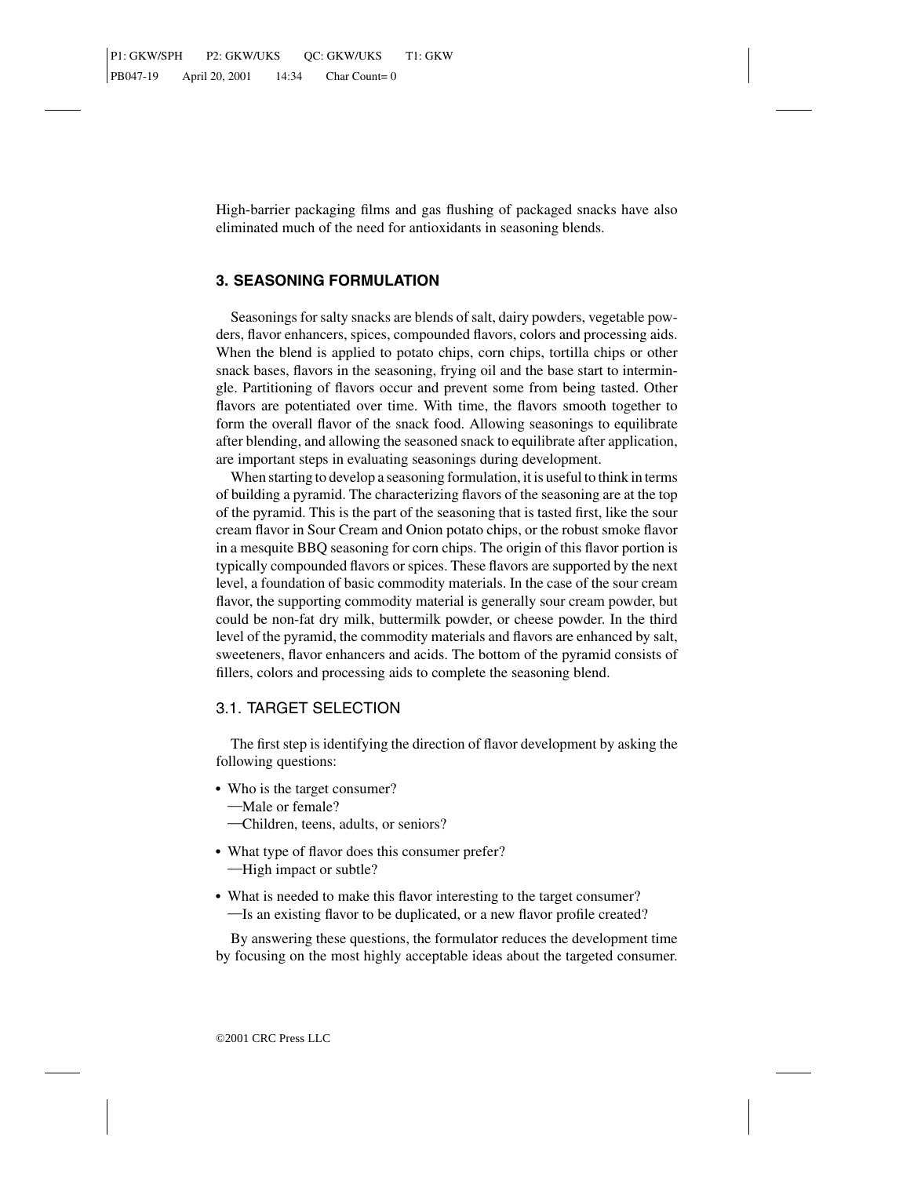High-barrier packaging films and gas flushing of packaged snacks have also eliminated much of the need for antioxidants in seasoning blends.

#### **3. SEASONING FORMULATION**

Seasonings for salty snacks are blends of salt, dairy powders, vegetable powders, flavor enhancers, spices, compounded flavors, colors and processing aids. When the blend is applied to potato chips, corn chips, tortilla chips or other snack bases, flavors in the seasoning, frying oil and the base start to intermingle. Partitioning of flavors occur and prevent some from being tasted. Other flavors are potentiated over time. With time, the flavors smooth together to form the overall flavor of the snack food. Allowing seasonings to equilibrate after blending, and allowing the seasoned snack to equilibrate after application, are important steps in evaluating seasonings during development.

When starting to develop a seasoning formulation, it is useful to think in terms of building a pyramid. The characterizing flavors of the seasoning are at the top of the pyramid. This is the part of the seasoning that is tasted first, like the sour cream flavor in Sour Cream and Onion potato chips, or the robust smoke flavor in a mesquite BBQ seasoning for corn chips. The origin of this flavor portion is typically compounded flavors or spices. These flavors are supported by the next level, a foundation of basic commodity materials. In the case of the sour cream flavor, the supporting commodity material is generally sour cream powder, but could be non-fat dry milk, buttermilk powder, or cheese powder. In the third level of the pyramid, the commodity materials and flavors are enhanced by salt, sweeteners, flavor enhancers and acids. The bottom of the pyramid consists of fillers, colors and processing aids to complete the seasoning blend.

## 3.1. TARGET SELECTION

The first step is identifying the direction of flavor development by asking the following questions:

- Who is the target consumer?
	- —Male or female?
	- —Children, teens, adults, or seniors?
- What type of flavor does this consumer prefer? —High impact or subtle?
- What is needed to make this flavor interesting to the target consumer? —Is an existing flavor to be duplicated, or a new flavor profile created?

By answering these questions, the formulator reduces the development time by focusing on the most highly acceptable ideas about the targeted consumer.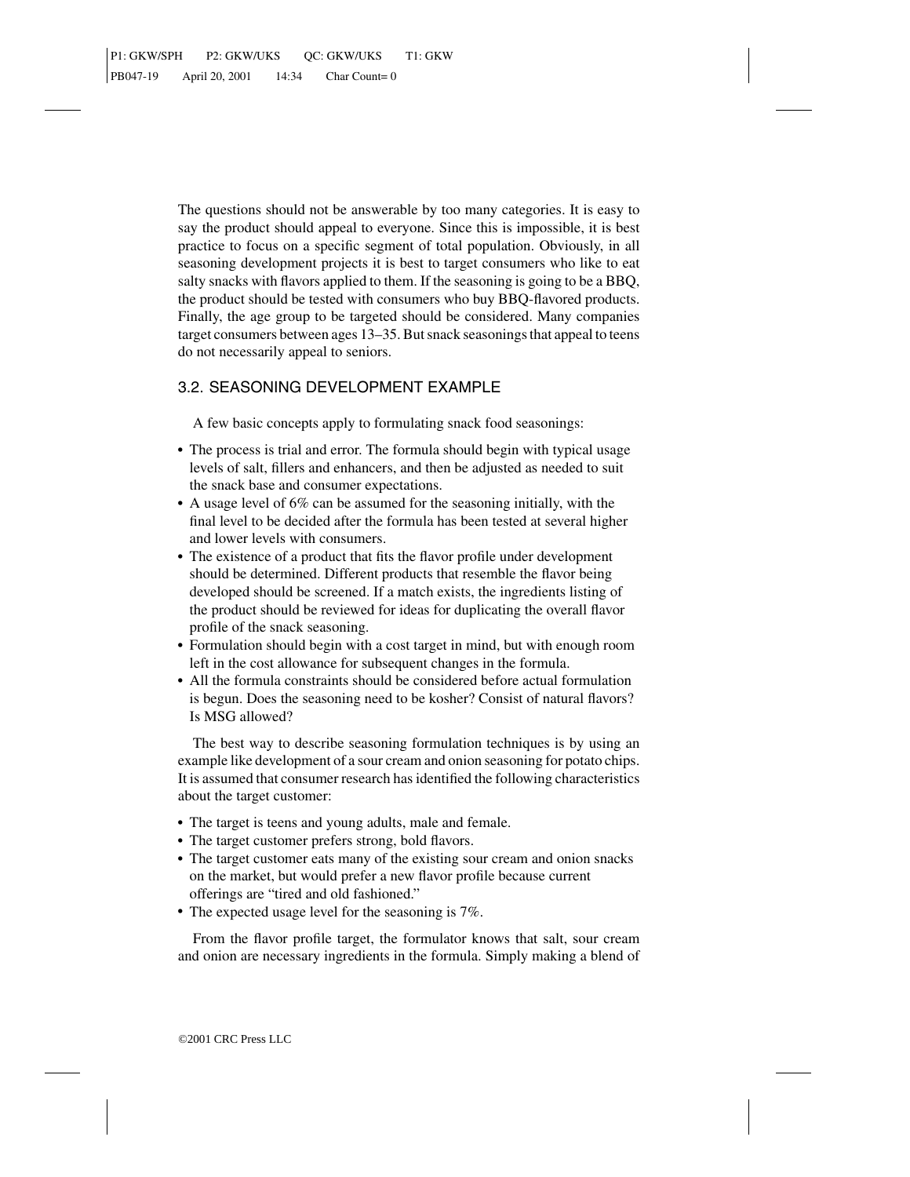The questions should not be answerable by too many categories. It is easy to say the product should appeal to everyone. Since this is impossible, it is best practice to focus on a specific segment of total population. Obviously, in all seasoning development projects it is best to target consumers who like to eat salty snacks with flavors applied to them. If the seasoning is going to be a BBQ, the product should be tested with consumers who buy BBQ-flavored products. Finally, the age group to be targeted should be considered. Many companies target consumers between ages 13–35. But snack seasonings that appeal to teens do not necessarily appeal to seniors.

## 3.2. SEASONING DEVELOPMENT EXAMPLE

A few basic concepts apply to formulating snack food seasonings:

- The process is trial and error. The formula should begin with typical usage levels of salt, fillers and enhancers, and then be adjusted as needed to suit the snack base and consumer expectations.
- A usage level of 6% can be assumed for the seasoning initially, with the final level to be decided after the formula has been tested at several higher and lower levels with consumers.
- The existence of a product that fits the flavor profile under development should be determined. Different products that resemble the flavor being developed should be screened. If a match exists, the ingredients listing of the product should be reviewed for ideas for duplicating the overall flavor profile of the snack seasoning.
- Formulation should begin with a cost target in mind, but with enough room left in the cost allowance for subsequent changes in the formula.
- All the formula constraints should be considered before actual formulation is begun. Does the seasoning need to be kosher? Consist of natural flavors? Is MSG allowed?

The best way to describe seasoning formulation techniques is by using an example like development of a sour cream and onion seasoning for potato chips. It is assumed that consumer research has identified the following characteristics about the target customer:

- The target is teens and young adults, male and female.
- The target customer prefers strong, bold flavors.
- The target customer eats many of the existing sour cream and onion snacks on the market, but would prefer a new flavor profile because current offerings are "tired and old fashioned."
- The expected usage level for the seasoning is 7%.

From the flavor profile target, the formulator knows that salt, sour cream and onion are necessary ingredients in the formula. Simply making a blend of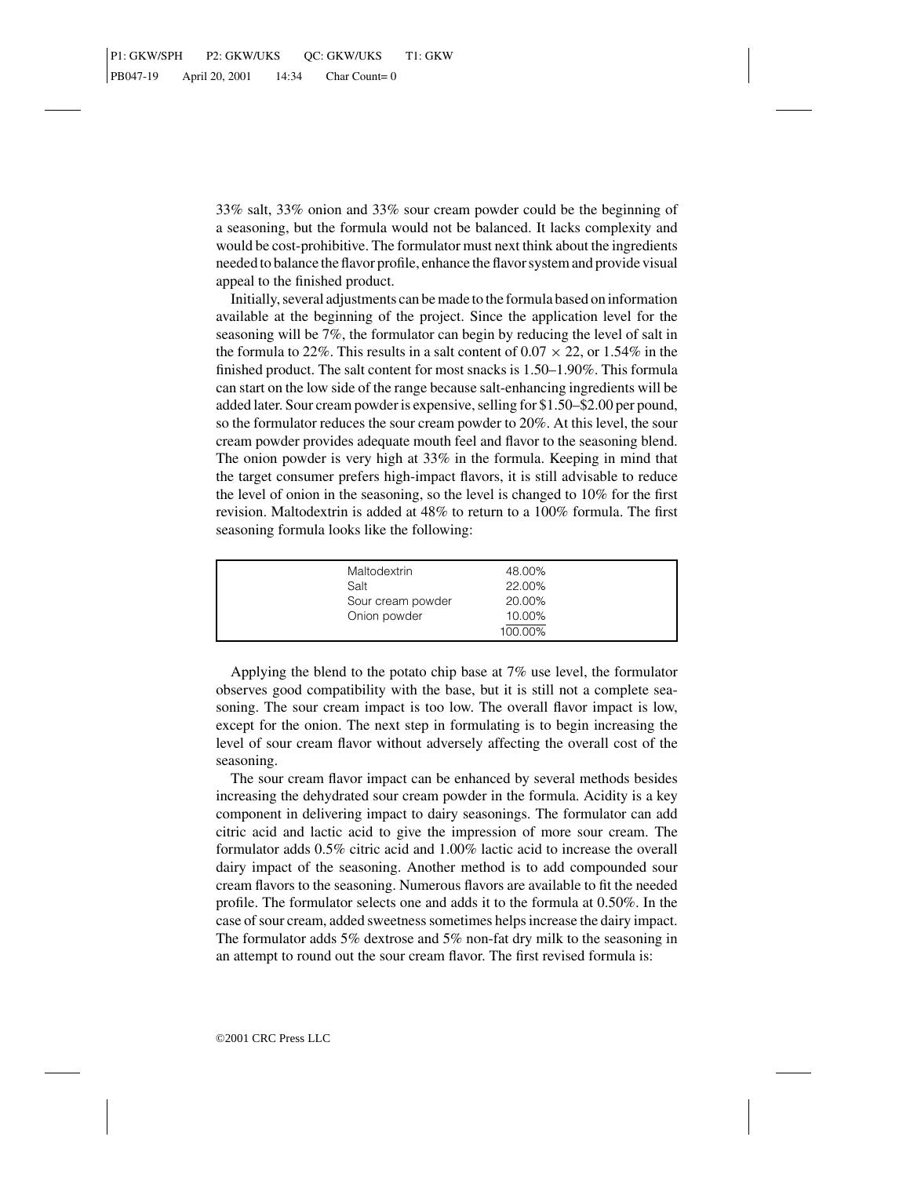33% salt, 33% onion and 33% sour cream powder could be the beginning of a seasoning, but the formula would not be balanced. It lacks complexity and would be cost-prohibitive. The formulator must next think about the ingredients needed to balance the flavor profile, enhance the flavor system and provide visual appeal to the finished product.

Initially, several adjustments can be made to the formula based on information available at the beginning of the project. Since the application level for the seasoning will be 7%, the formulator can begin by reducing the level of salt in the formula to 22%. This results in a salt content of  $0.07 \times 22$ , or 1.54% in the finished product. The salt content for most snacks is 1.50–1.90%. This formula can start on the low side of the range because salt-enhancing ingredients will be added later. Sour cream powder is expensive, selling for \$1.50–\$2.00 per pound, so the formulator reduces the sour cream powder to 20%. At this level, the sour cream powder provides adequate mouth feel and flavor to the seasoning blend. The onion powder is very high at  $33\%$  in the formula. Keeping in mind that the target consumer prefers high-impact flavors, it is still advisable to reduce the level of onion in the seasoning, so the level is changed to 10% for the first revision. Maltodextrin is added at 48% to return to a 100% formula. The first seasoning formula looks like the following:

| Maltodextrin      | 48.00%  |
|-------------------|---------|
| Salt              | 22.00%  |
| Sour cream powder | 20.00%  |
| Onion powder      | 10.00%  |
|                   | 100.00% |

Applying the blend to the potato chip base at 7% use level, the formulator observes good compatibility with the base, but it is still not a complete seasoning. The sour cream impact is too low. The overall flavor impact is low, except for the onion. The next step in formulating is to begin increasing the level of sour cream flavor without adversely affecting the overall cost of the seasoning.

The sour cream flavor impact can be enhanced by several methods besides increasing the dehydrated sour cream powder in the formula. Acidity is a key component in delivering impact to dairy seasonings. The formulator can add citric acid and lactic acid to give the impression of more sour cream. The formulator adds 0.5% citric acid and 1.00% lactic acid to increase the overall dairy impact of the seasoning. Another method is to add compounded sour cream flavors to the seasoning. Numerous flavors are available to fit the needed profile. The formulator selects one and adds it to the formula at 0.50%. In the case of sour cream, added sweetness sometimes helps increase the dairy impact. The formulator adds 5% dextrose and 5% non-fat dry milk to the seasoning in anattempt to round out the sour cream flavor. The first revised formula is: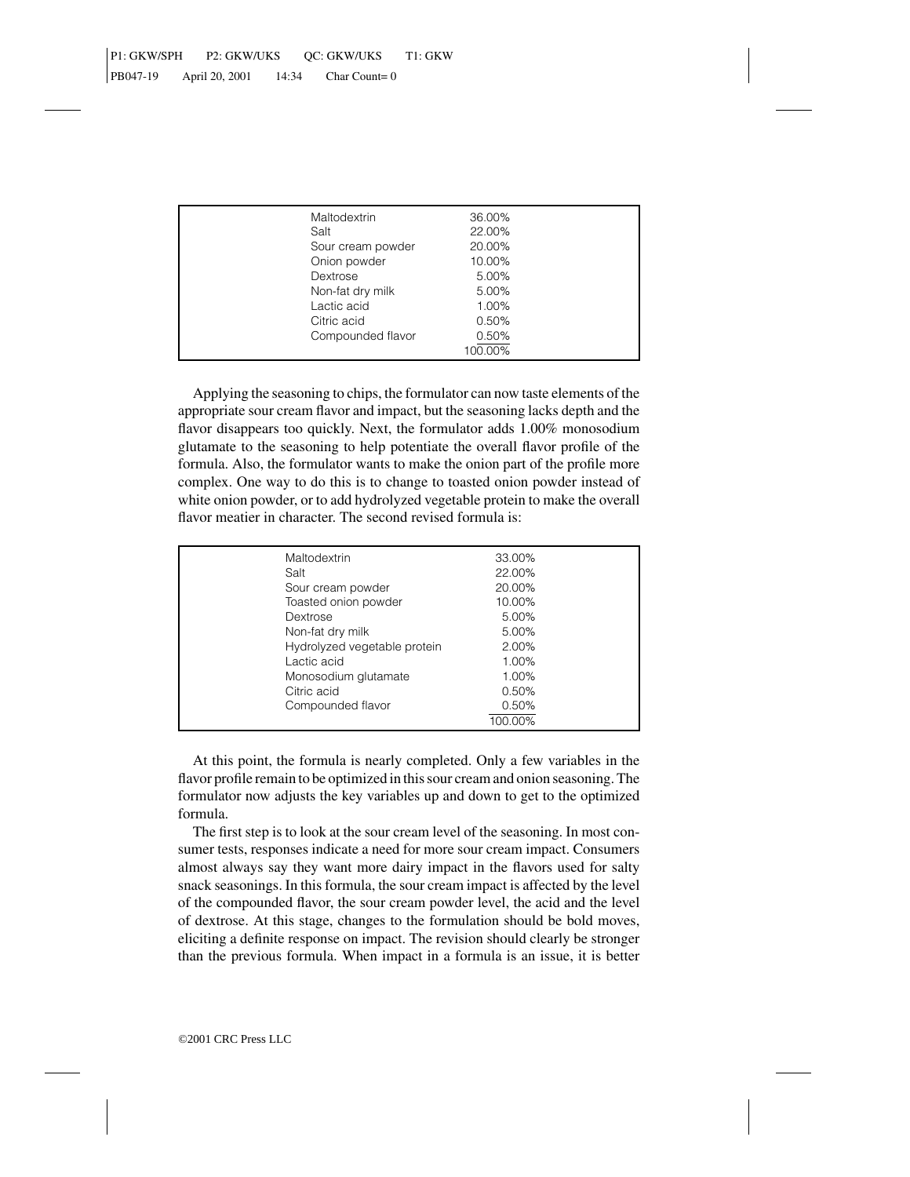| Maltodextrin      | 36.00%  |  |
|-------------------|---------|--|
| Salt              | 22.00%  |  |
| Sour cream powder | 20.00%  |  |
| Onion powder      | 10.00%  |  |
| Dextrose          | 5.00%   |  |
| Non-fat dry milk  | 5.00%   |  |
| Lactic acid       | 1.00%   |  |
| Citric acid       | 0.50%   |  |
| Compounded flavor | 0.50%   |  |
|                   | 100.00% |  |

Applying the seasoning to chips, the formulator can now taste elements of the appropriate sour cream flavor and impact, but the seasoning lacks depth and the flavor disappears too quickly. Next, the formulator adds 1.00% monosodium glutamate to the seasoning to help potentiate the overall flavor profile of the formula. Also, the formulator wants to make the onion part of the profile more complex. One way to do this is to change to toasted onion powder instead of white onion powder, or to add hydrolyzed vegetable protein to make the overall flavor meatier in character. The second revised formula is:

| Maltodextrin                 | 33.00%   |
|------------------------------|----------|
| Salt                         | 22.00%   |
| Sour cream powder            | 20.00%   |
| Toasted onion powder         | 10.00%   |
| Dextrose                     | 5.00%    |
| Non-fat dry milk             | $5.00\%$ |
| Hydrolyzed vegetable protein | $2.00\%$ |
| Lactic acid                  | 1.00%    |
| Monosodium glutamate         | 1.00%    |
| Citric acid                  | 0.50%    |
| Compounded flavor            | 0.50%    |
|                              | 100.00%  |

At this point, the formula is nearly completed. Only a few variables in the flavor profile remain to be optimized in this sour cream and onion seasoning. The formulator now adjusts the key variables up and down to get to the optimized formula.

The first step is to look at the sour cream level of the seasoning. In most consumer tests, responses indicate a need for more sour cream impact. Consumers almost always say they want more dairy impact in the flavors used for salty snack seasonings. In this formula, the sour cream impact is affected by the level of the compounded flavor, the sour cream powder level, the acid and the level of dextrose. At this stage, changes to the formulation should be bold moves, eliciting a definite response on impact. The revision should clearly be stronger than the previous formula. When impact in a formula is an issue, it is better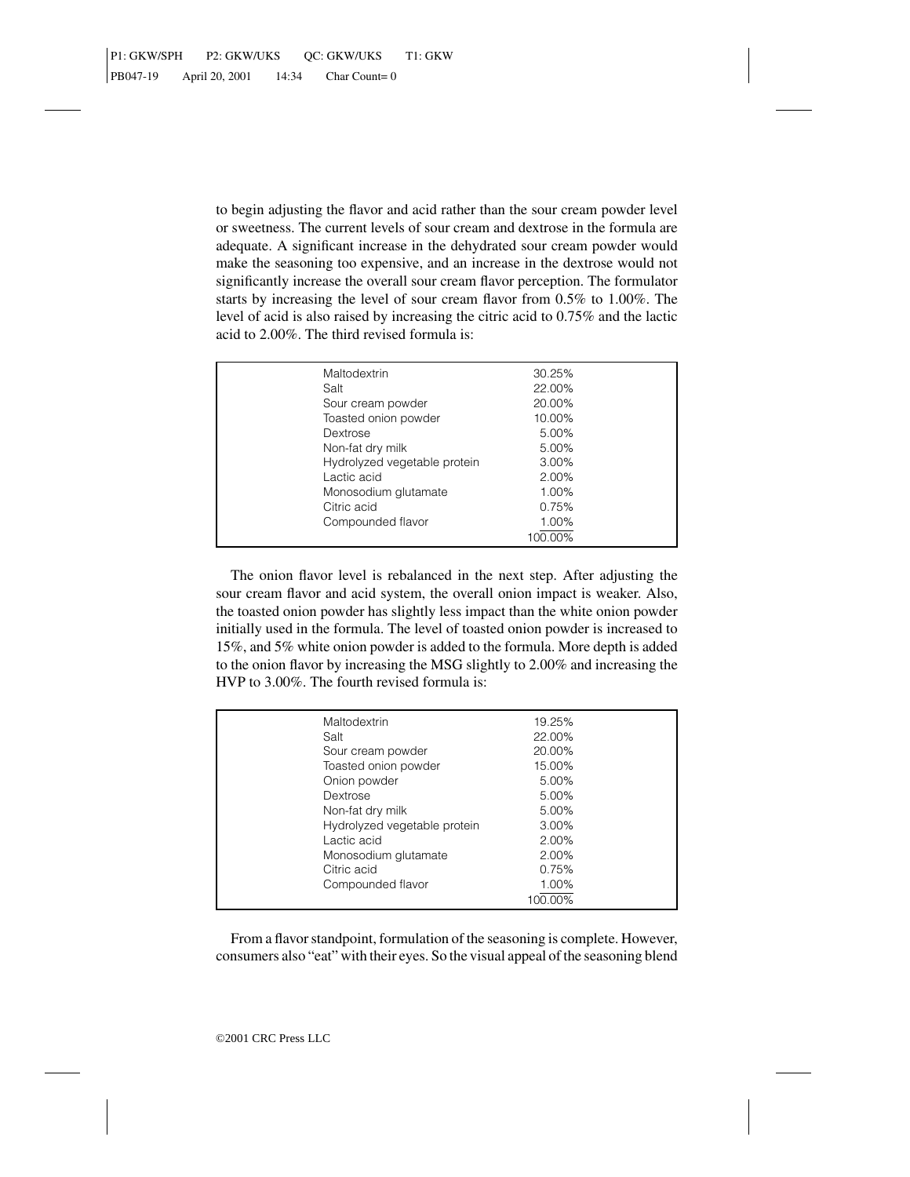to begin adjusting the flavor and acid rather than the sour cream powder level or sweetness. The current levels of sour cream and dextrose in the formula are adequate. A significant increase in the dehydrated sour cream powder would make the seasoning too expensive, and an increase in the dextrose would not significantly increase the overall sour cream flavor perception. The formulator starts by increasing the level of sour cream flavor from 0.5% to 1.00%. The level of acid is also raised by increasing the citric acid to 0.75% and the lactic acid to 2.00%. The third revised formula is:

| Maltodextrin                 | 30.25%    |
|------------------------------|-----------|
| Salt                         | 22.00%    |
| Sour cream powder            | 20.00%    |
| Toasted onion powder         | 10.00%    |
| Dextrose                     | 5.00%     |
| Non-fat dry milk             | 5.00%     |
| Hydrolyzed vegetable protein | $3.00\%$  |
| Lactic acid                  | $2.00\%$  |
| Monosodium glutamate         | 1.00%     |
| Citric acid                  | 0.75%     |
| Compounded flavor            | 1.00%     |
|                              | I  በበ በበ% |
|                              |           |

The onion flavor level is rebalanced in the next step. After adjusting the sour cream flavor and acid system, the overall onion impact is weaker. Also, the toasted onion powder has slightly less impact than the white onion powder initially used in the formula. The level of toasted onion powder is increased to 15%, and 5% white onion powder is added to the formula. More depth is added to the onion flavor by increasing the MSG slightly to 2.00% and increasing the HVP to 3.00%. The fourth revised formula is:

| Maltodextrin                 | 19.25%   |
|------------------------------|----------|
| Salt                         | 22.00%   |
| Sour cream powder            | 20.00%   |
| Toasted onion powder         | 15.00%   |
| Onion powder                 | 5.00%    |
| Dextrose                     | 5.00%    |
| Non-fat dry milk             | 5.00%    |
| Hydrolyzed vegetable protein | $3.00\%$ |
| Lactic acid                  | 2.00%    |
| Monosodium glutamate         | 2.00%    |
| Citric acid                  | 0.75%    |
| Compounded flavor            | 1.00%    |
|                              | 100.00%  |

From a flavor standpoint, formulation of the seasoning is complete. However, consumers also "eat" with their eyes. So the visual appeal of the seasoning blend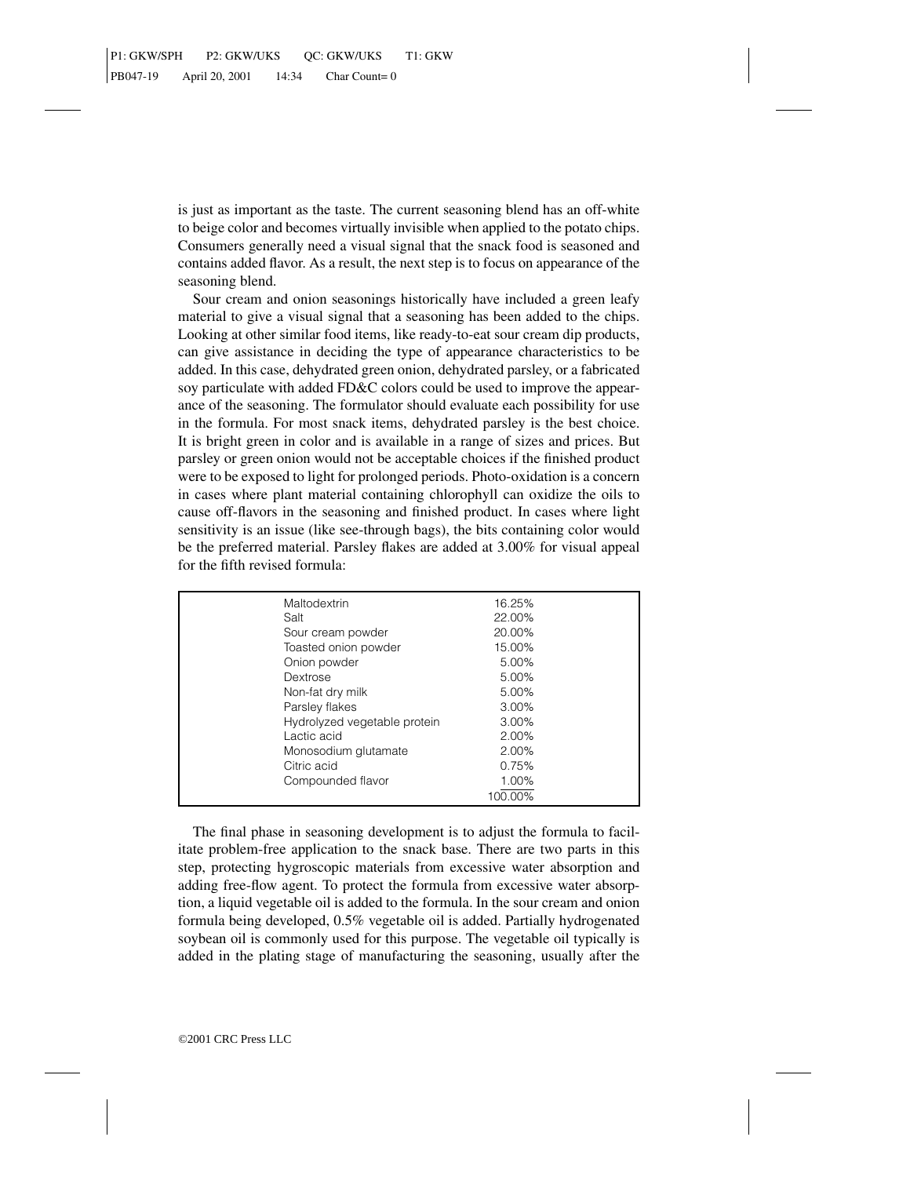is just as important as the taste. The current seasoning blend has an off-white to beige color and becomes virtually invisible when applied to the potato chips. Consumers generally need a visual signal that the snack food is seasoned and contains added flavor. As a result, the next step is to focus on appearance of the seasoning blend.

Sour cream and onion seasonings historically have included a green leafy material to give a visual signal that a seasoning has been added to the chips. Looking at other similar food items, like ready-to-eat sour cream dip products, can give assistance in deciding the type of appearance characteristics to be added. In this case, dehydrated green onion, dehydrated parsley, or a fabricated soy particulate with added FD&C colors could be used to improve the appearance of the seasoning. The formulator should evaluate each possibility for use in the formula. For most snack items, dehydrated parsley is the best choice. It is bright green in color and is available in a range of sizes and prices. But parsley or green onion would not be acceptable choices if the finished product were to be exposed to light for prolonged periods. Photo-oxidation is a concern in cases where plant material containing chlorophyll can oxidize the oils to cause off-flavors in the seasoning and finished product. In cases where light sensitivity is an issue (like see-through bags), the bits containing color would be the preferred material. Parsley flakes are added at 3.00% for visual appeal for the fifth revised formula:

| Maltodextrin                 | 16.25%   |
|------------------------------|----------|
| Salt                         | 22.00%   |
| Sour cream powder            | 20.00%   |
| Toasted onion powder         | 15.00%   |
| Onion powder                 | 5.00%    |
| Dextrose                     | 5.00%    |
| Non-fat dry milk             | 5.00%    |
| Parsley flakes               | 3.00%    |
| Hydrolyzed vegetable protein | $3.00\%$ |
| Lactic acid                  | 2.00%    |
| Monosodium glutamate         | $2.00\%$ |
| Citric acid                  | 0.75%    |
| Compounded flavor            | 1.00%    |
|                              | 100.00%  |

The final phase in seasoning development is to adjust the formula to facilitate problem-free application to the snack base. There are two parts in this step, protecting hygroscopic materials from excessive water absorption and adding free-flow agent. To protect the formula from excessive water absorption, a liquid vegetable oil is added to the formula. In the sour cream and onion formula being developed, 0.5% vegetable oil is added. Partially hydrogenated soybean oil is commonly used for this purpose. The vegetable oil typically is added in the plating stage of manufacturing the seasoning, usually after the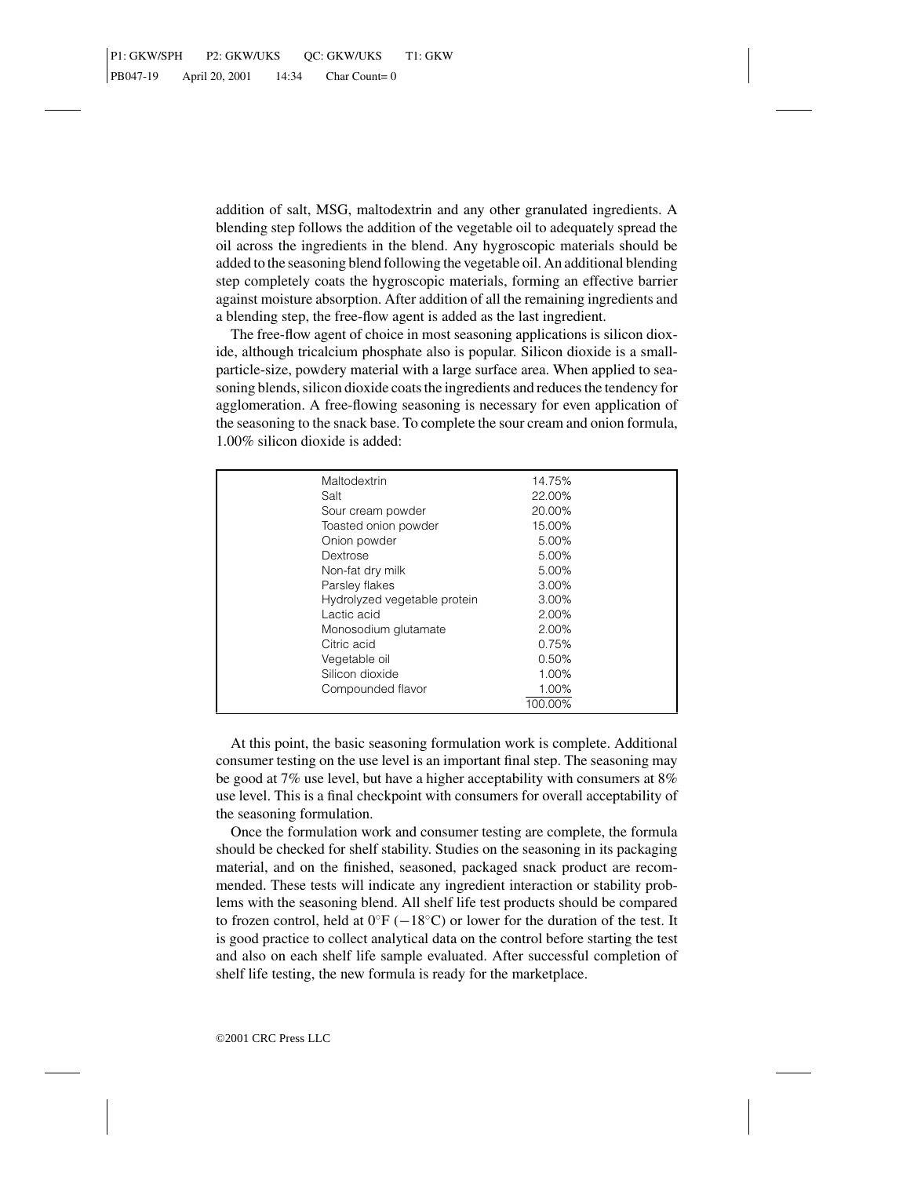addition of salt, MSG, maltodextrin and any other granulated ingredients. A blending step follows the addition of the vegetable oil to adequately spread the oil across the ingredients in the blend. Any hygroscopic materials should be added to the seasoning blend following the vegetable oil. An additional blending step completely coats the hygroscopic materials, forming an effective barrier against moisture absorption. After addition of all the remaining ingredients and a blending step, the free-flow agent is added as the last ingredient.

The free-flow agent of choice in most seasoning applications is silicon dioxide, although tricalcium phosphate also is popular. Silicon dioxide is a smallparticle-size, powdery material with a large surface area. When applied to seasoning blends, silicon dioxide coats the ingredients and reduces the tendency for agglomeration. A free-flowing seasoning is necessary for even application of the seasoning to the snack base. To complete the sour cream and onion formula,  $1.00\%$  silicon dioxide is added:

| Maltodextrin                 | 14.75%  |
|------------------------------|---------|
| Salt                         | 22.00%  |
| Sour cream powder            | 20.00%  |
| Toasted onion powder         | 15.00%  |
| Onion powder                 | 5.00%   |
| Dextrose                     | 5.00%   |
| Non-fat dry milk             | 5.00%   |
| Parsley flakes               | 3.00%   |
| Hydrolyzed vegetable protein | 3.00%   |
| Lactic acid                  | 2.00%   |
| Monosodium glutamate         | 2.00%   |
| Citric acid                  | 0.75%   |
| Vegetable oil                | 0.50%   |
| Silicon dioxide              | 1.00%   |
| Compounded flavor            | 1.00%   |
|                              | 100.00% |

At this point, the basic seasoning formulation work is complete. Additional consumer testing on the use level is an important final step. The seasoning may be good at 7% use level, but have a higher acceptability with consumers at 8% use level. This is a final checkpoint with consumers for overall acceptability of the seasoning formulation.

Once the formulation work and consumer testing are complete, the formula should be checked for shelf stability. Studies on the seasoning in its packaging material, and on the finished, seasoned, packaged snack product are recommended. These tests will indicate any ingredient interaction or stability problems with the seasoning blend. All shelf life test products should be compared to frozen control, held at  $0°F (-18°C)$  or lower for the duration of the test. It is good practice to collect analytical data on the control before starting the test and also on each shelf life sample evaluated. After successful completion of shelf life testing, the new formula is ready for the marketplace.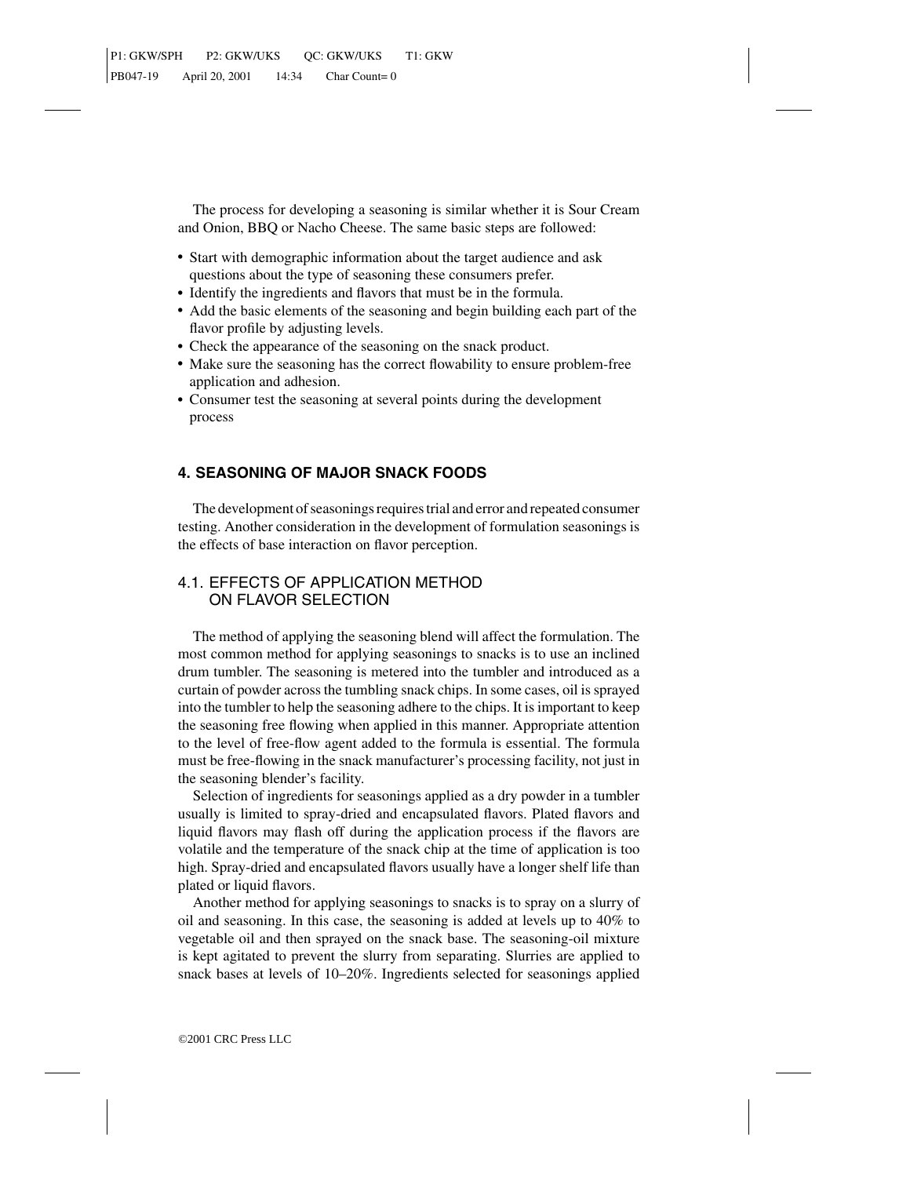The process for developing a seasoning is similar whether it is Sour Cream and Onion, BBQ or Nacho Cheese. The same basic steps are followed:

- Start with demographic information about the target audience and ask questions about the type of seasoning these consumers prefer.
- Identify the ingredients and flavors that must be in the formula.
- Add the basic elements of the seasoning and begin building each part of the flavor profile by adjusting levels.
- Check the appearance of the seasoning on the snack product.
- Make sure the seasoning has the correct flowability to ensure problem-free application and adhesion.
- Consumer test the seasoning at several points during the development process

## **4. SEASONING OF MAJOR SNACK FOODS**

The development of seasonings requires trial and error and repeated consumer testing. Another consideration in the development of formulation seasonings is the effects of base interaction on flavor perception.

## 4.1. EFFECTS OF APPLICATION METHOD ON FLAVOR SELECTION

The method of applying the seasoning blend will affect the formulation. The most common method for applying seasonings to snacks is to use an inclined drum tumbler. The seasoning is metered into the tumbler and introduced as a curtain of powder across the tumbling snack chips. In some cases, oil is sprayed into the tumbler to help the seasoning adhere to the chips. It is important to keep the seasoning free flowing when applied in this manner. Appropriate attention to the level of free-flow agent added to the formula is essential. The formula must be free-flowing in the snack manufacturer's processing facility, not just in the seasoning blender's facility.

Selection of ingredients for seasonings applied as a dry powder in a tumbler usually is limited to spray-dried and encapsulated flavors. Plated flavors and liquid flavors may flash off during the application process if the flavors are volatile and the temperature of the snack chip at the time of application is too high. Spray-dried and encapsulated flavors usually have a longer shelf life than plated or liquid flavors.

Another method for applying seasonings to snacks is to spray on a slurry of oil and seasoning. In this case, the seasoning is added at levels up to 40% to vegetable oil and then sprayed on the snack base. The seasoning-oil mixture is kept agitated to prevent the slurry from separating. Slurries are applied to snack bases at levels of 10–20%. Ingredients selected for seasonings applied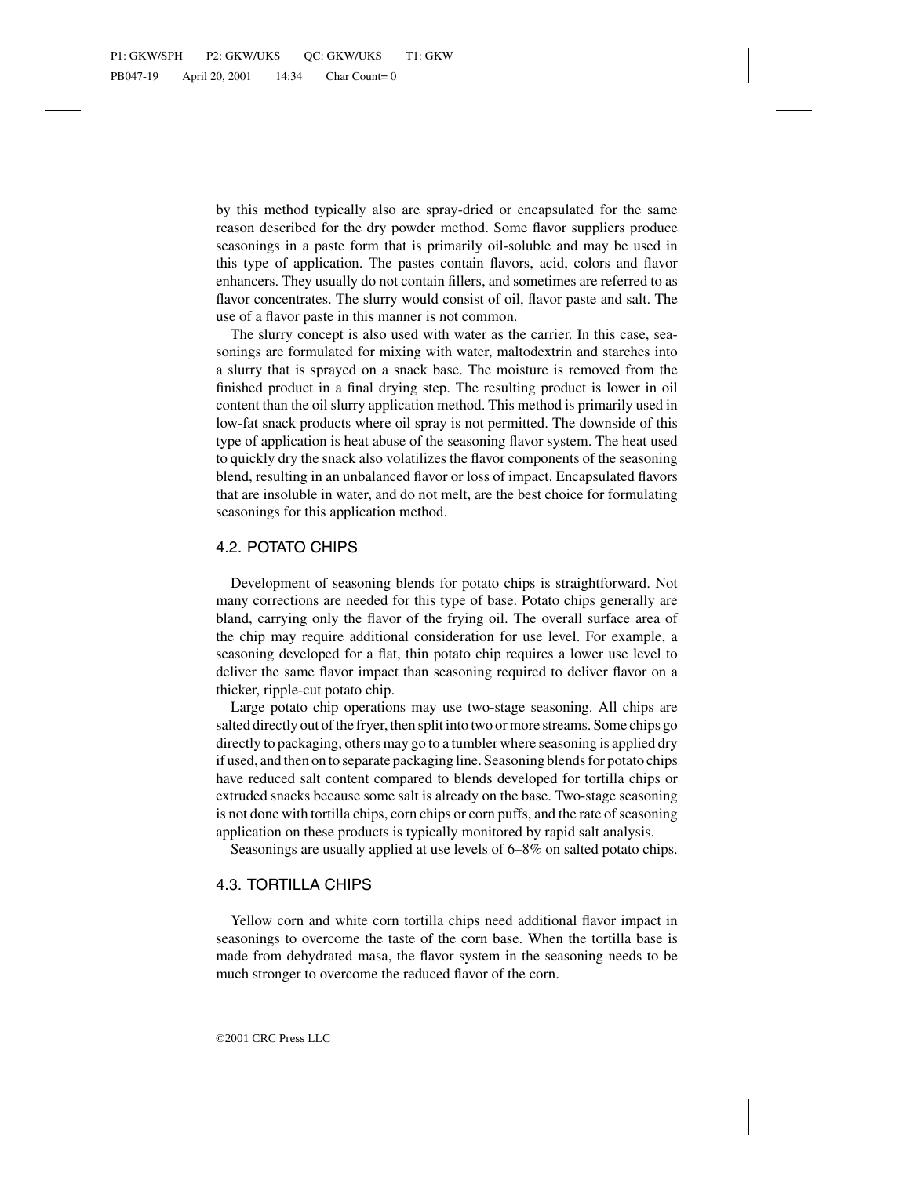by this method typically also are spray-dried or encapsulated for the same reason described for the dry powder method. Some flavor suppliers produce seasonings in a paste form that is primarily oil-soluble and may be used in this type of application. The pastes contain flavors, acid, colors and flavor enhancers. They usually do not contain fillers, and sometimes are referred to as flavor concentrates. The slurry would consist of oil, flavor paste and salt. The use of a flavor paste in this manner is not common.

The slurry concept is also used with water as the carrier. In this case, seasonings are formulated for mixing with water, maltodextrin and starches into a slurry that is sprayed on a snack base. The moisture is removed from the finished product in a final drying step. The resulting product is lower in oil content than the oil slurry application method. This method is primarily used in low-fat snack products where oil spray is not permitted. The downside of this type of application is heat abuse of the seasoning flavor system. The heat used to quickly dry the snack also volatilizes the flavor components of the seasoning blend, resulting in an unbalanced flavor or loss of impact. Encapsulated flavors that are insoluble in water, and do not melt, are the best choice for formulating seasonings for this application method.

#### 4.2. POTATO CHIPS

Development of seasoning blends for potato chips is straightforward. Not many corrections are needed for this type of base. Potato chips generally are bland, carrying only the flavor of the frying oil. The overall surface area of the chip may require additional consideration for use level. For example, a seasoning developed for a flat, thin potato chip requires a lower use level to deliver the same flavor impact than seasoning required to deliver flavor on a thicker, ripple-cut potato chip.

Large potato chip operations may use two-stage seasoning. All chips are salted directly out of the fryer, then split into two or more streams. Some chips go directly to packaging, others may go to a tumbler where seasoning is applied dry if used, and then on to separate packaging line. Seasoning blends for potato chips have reduced salt content compared to blends developed for tortilla chips or extruded snacks because some salt is already on the base. Two-stage seasoning is not done with tortilla chips, corn chips or corn puffs, and the rate of seasoning application on these products is typically monitored by rapid salt analysis.

Seasonings are usually applied at use levels of 6–8% on salted potato chips.

## 4.3. TORTILLA CHIPS

Yellow corn and white corn tortilla chips need additional flavor impact in seasonings to overcome the taste of the corn base. When the tortilla base is made from dehydrated masa, the flavor system in the seasoning needs to be much stronger to overcome the reduced flavor of the corn.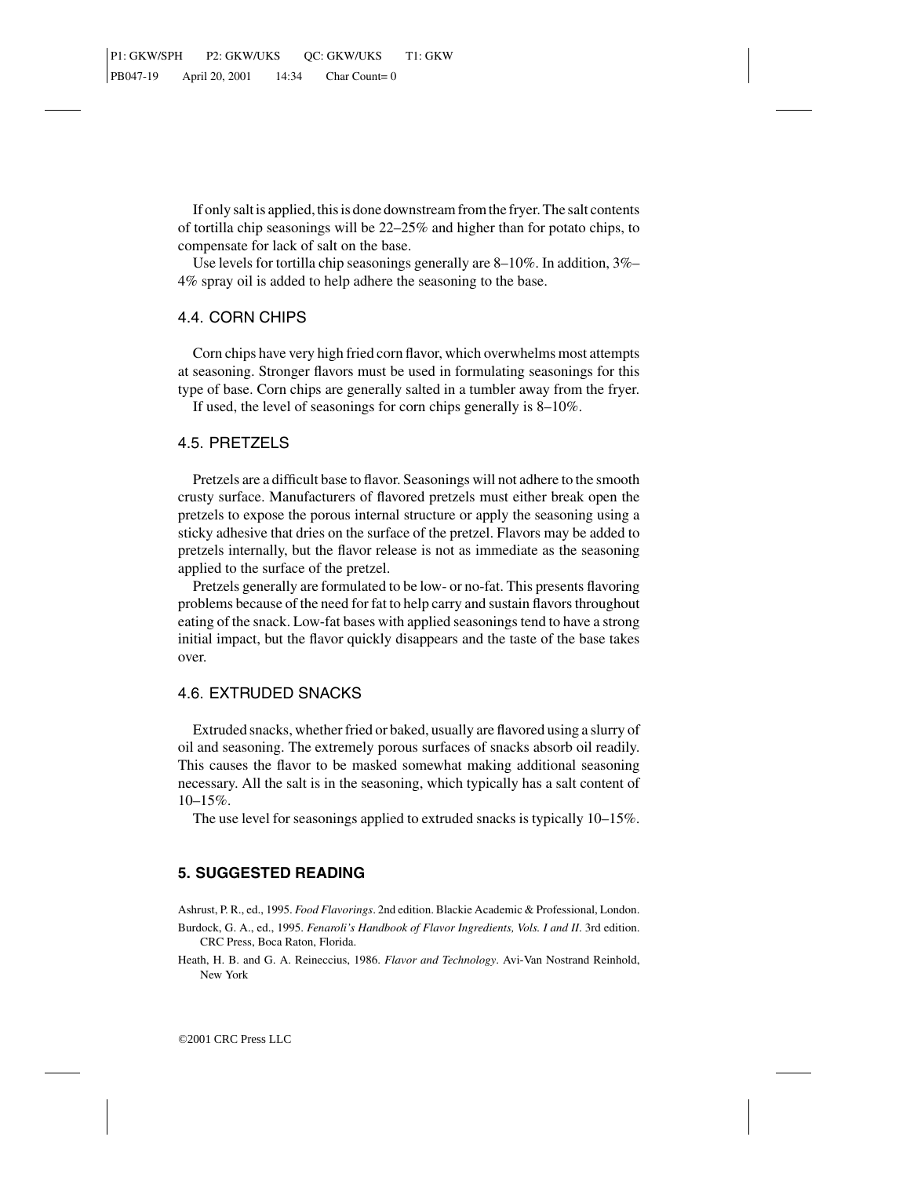If only salt is applied, this is done downstream from the fryer. The salt contents of tortilla chip seasonings will be 22–25% and higher than for potato chips, to compensate for lack of salt on the base.

Use levels for tortilla chip seasonings generally are 8–10%. In addition, 3%– 4% spray oil is added to help adhere the seasoning to the base.

## 4.4. CORN CHIPS

Corn chips have very high fried corn flavor, which overwhelms most attempts at seasoning. Stronger flavors must be used in formulating seasonings for this type of base. Corn chips are generally salted in a tumbler away from the fryer.

If used, the level of seasonings for corn chips generally is 8–10%.

#### 4.5. PRETZELS

Pretzels are a difficult base to flavor. Seasonings will not adhere to the smooth crusty surface. Manufacturers of flavored pretzels must either break open the pretzels to expose the porous internal structure or apply the seasoning using a sticky adhesive that dries onthe surface of the pretzel. Flavors may be added to pretzels internally, but the flavor release is not as immediate as the seasoning applied to the surface of the pretzel.

Pretzels generally are formulated to be low- or no-fat. This presents flavoring problems because of the need for fat to help carry and sustain flavors throughout eating of the snack. Low-fat bases with applied seasonings tend to have a strong initial impact, but the flavor quickly disappears and the taste of the base takes over.

#### 4.6. EXTRUDED SNACKS

Extruded snacks, whether fried or baked, usually are flavored using a slurry of oil and seasoning. The extremely porous surfaces of snacks absorb oil readily. This causes the flavor to be masked somewhat making additional seasoning necessary. All the salt is in the seasoning, which typically has a salt content of  $10-15%$ .

The use level for seasonings applied to extruded snacks is typically 10–15%.

#### **5. SUGGESTED READING**

Ashrust, P. R., ed., 1995. *Food Flavorings*. 2nd edition. Blackie Academic & Professional, London.

Burdock, G. A., ed., 1995. *Fenaroli's Handbook of Flavor Ingredients, Vols. I and II*. 3rd edition. CRC Press, Boca Raton, Florida.

Heath, H. B. and G. A. Reineccius, 1986. *Flavor and Technology*. Avi-Van Nostrand Reinhold, New York